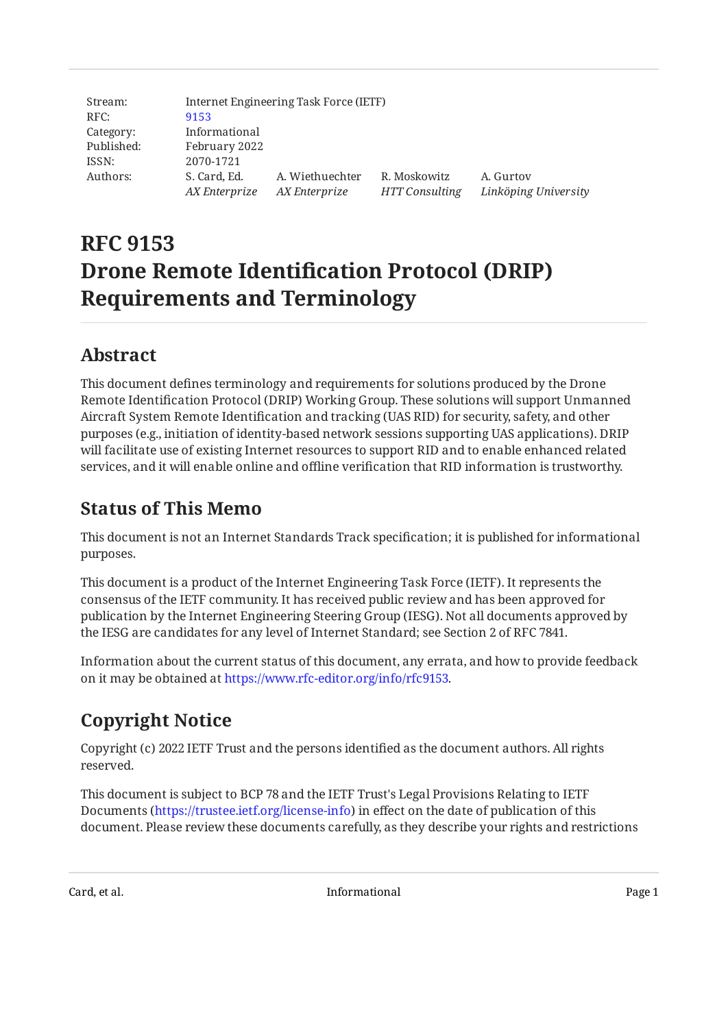| Stream:    |                               | Internet Engineering Task Force (IETF) |                                |                                   |
|------------|-------------------------------|----------------------------------------|--------------------------------|-----------------------------------|
| RFC:       | 9153                          |                                        |                                |                                   |
| Category:  | Informational                 |                                        |                                |                                   |
| Published: | February 2022                 |                                        |                                |                                   |
| ISSN:      | 2070-1721                     |                                        |                                |                                   |
| Authors:   | S. Card, Ed.<br>AX Enterprize | A. Wiethuechter<br>AX Enterprize       | R. Moskowitz<br>HTT Consulting | A. Gurtov<br>Linköping University |

# **RFC 9153 Drone Remote Identification Protocol (DRIP) Requirements and Terminology**

## <span id="page-0-0"></span>**[Abstract](#page-0-0)**

This document defines terminology and requirements for solutions produced by the Drone Remote Identification Protocol (DRIP) Working Group. These solutions will support Unmanned Aircraft System Remote Identification and tracking (UAS RID) for security, safety, and other purposes (e.g., initiation of identity-based network sessions supporting UAS applications). DRIP will facilitate use of existing Internet resources to support RID and to enable enhanced related services, and it will enable online and offline verification that RID information is trustworthy.

## <span id="page-0-1"></span>**[Status of This Memo](#page-0-1)**

This document is not an Internet Standards Track specification; it is published for informational purposes.

This document is a product of the Internet Engineering Task Force (IETF). It represents the consensus of the IETF community. It has received public review and has been approved for publication by the Internet Engineering Steering Group (IESG). Not all documents approved by the IESG are candidates for any level of Internet Standard; see Section 2 of RFC 7841.

Information about the current status of this document, any errata, and how to provide feedback on it may be obtained at [https://www.rfc-editor.org/info/rfc9153.](https://www.rfc-editor.org/info/rfc9153)

# <span id="page-0-2"></span>**[Copyright Notice](#page-0-2)**

Copyright (c) 2022 IETF Trust and the persons identified as the document authors. All rights reserved.

This document is subject to BCP 78 and the IETF Trust's Legal Provisions Relating to IETF Documents (<https://trustee.ietf.org/license-info>) in effect on the date of publication of this document. Please review these documents carefully, as they describe your rights and restrictions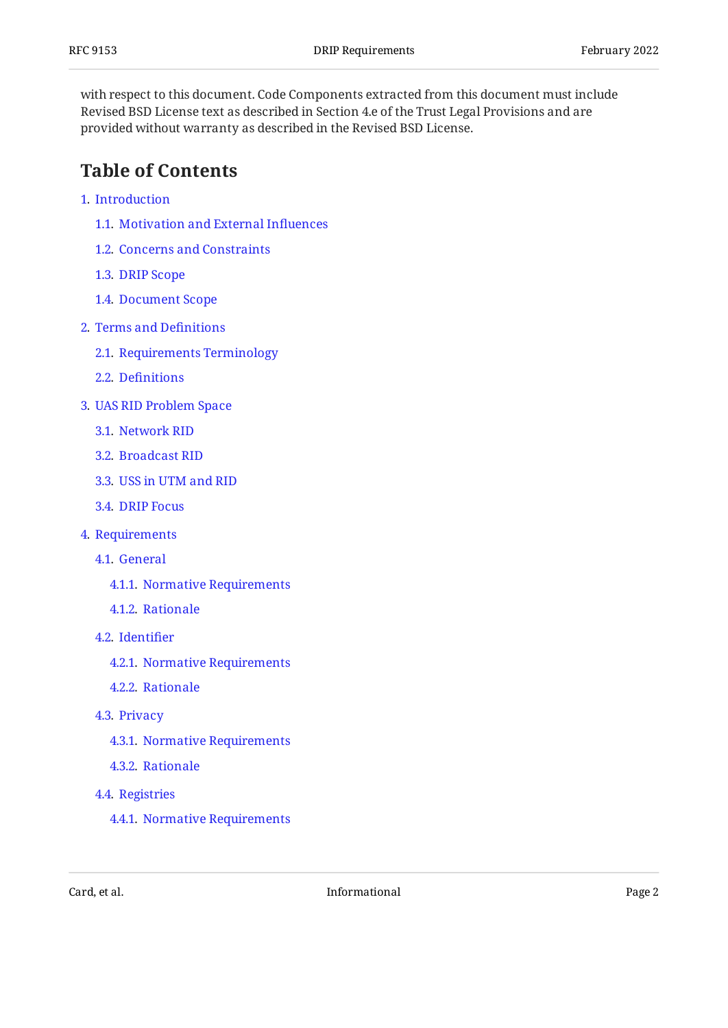with respect to this document. Code Components extracted from this document must include Revised BSD License text as described in Section 4.e of the Trust Legal Provisions and are provided without warranty as described in the Revised BSD License.

## <span id="page-1-0"></span>**[Table of Contents](#page-1-0)**

- [1](#page-2-0). [Introduction](#page-2-0)
	- [1.1.](#page-2-1) [Motivation and External In](#page-2-1)fluences
	- [1.2.](#page-7-0) [Concerns and Constraints](#page-7-0)
	- [1.3.](#page-9-0) [DRIP Scope](#page-9-0)
	- [1.4.](#page-10-0) [Document Scope](#page-10-0)
- [2](#page-10-1). [Terms and De](#page-10-1)finitions
	- [2.1.](#page-10-2) [Requirements Terminology](#page-10-2)
	- [2.2.](#page-10-3) Defi[nitions](#page-10-3)
- [3](#page-17-0). [UAS RID Problem Space](#page-17-0)
	- [3.1.](#page-18-0) [Network RID](#page-18-0)
	- [3.2.](#page-21-0) [Broadcast RID](#page-21-0)
	- [3.3.](#page-24-0) [USS in UTM and RID](#page-24-0)
	- [3.4.](#page-24-1) [DRIP Focus](#page-24-1)
- [4](#page-25-0). [Requirements](#page-25-0)
	- [4.1.](#page-26-0) [General](#page-26-0)
		- [4.1.1](#page-26-1). [Normative Requirements](#page-26-1)
		- [4.1.2](#page-27-0). [Rationale](#page-27-0)
	- [4.2.](#page-28-0) [Identi](#page-28-0)fier
		- [4.2.1](#page-28-1). [Normative Requirements](#page-28-1)
		- [4.2.2](#page-28-2). [Rationale](#page-28-2)
	- [4.3.](#page-29-0) [Privacy](#page-29-0)
		- [4.3.1](#page-29-1). [Normative Requirements](#page-29-1)
		- [4.3.2](#page-30-0). [Rationale](#page-30-0)
	- [4.4.](#page-31-0) [Registries](#page-31-0)
		- [4.4.1](#page-31-1). [Normative Requirements](#page-31-1)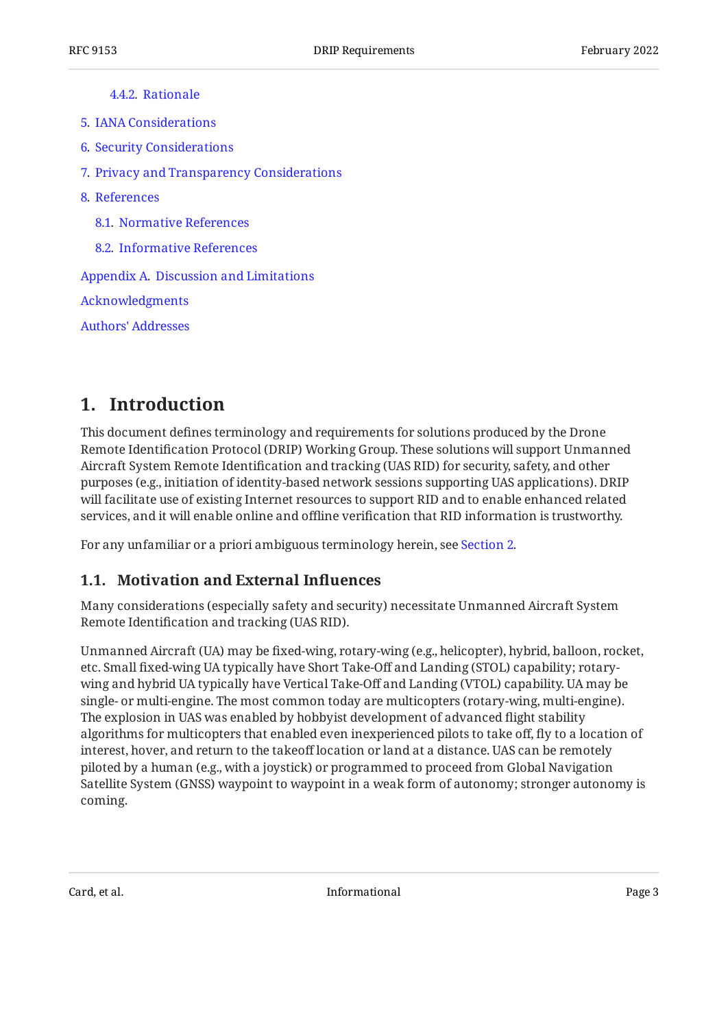[4.4.2](#page-31-2). [Rationale](#page-31-2)

- [5](#page-32-0). [IANA Considerations](#page-32-0)
- [6](#page-32-1). [Security Considerations](#page-32-1)
- [7](#page-33-0). [Privacy and Transparency Considerations](#page-33-0)
- [8](#page-34-0). [References](#page-34-0)
	- [8.1.](#page-34-1) [Normative References](#page-34-1)
	- [8.2.](#page-34-2) [Informative References](#page-34-2)

[Appendix A.](#page-37-0) [Discussion and Limitations](#page-37-0)

[Acknowledgments](#page-39-0)

[Authors' Addresses](#page-39-1)

## <span id="page-2-0"></span>**[1. Introduction](#page-2-0)**

This document defines terminology and requirements for solutions produced by the Drone Remote Identification Protocol (DRIP) Working Group. These solutions will support Unmanned Aircraft System Remote Identification and tracking (UAS RID) for security, safety, and other purposes (e.g., initiation of identity-based network sessions supporting UAS applications). DRIP will facilitate use of existing Internet resources to support RID and to enable enhanced related services, and it will enable online and offline verification that RID information is trustworthy.

<span id="page-2-1"></span>For any unfamiliar or a priori ambiguous terminology herein, see [Section 2.](#page-10-1)

#### **[1.1. Motivation and External In](#page-2-1)fluences**

Many considerations (especially safety and security) necessitate Unmanned Aircraft System Remote Identification and tracking (UAS RID).

Unmanned Aircraft (UA) may be fixed-wing, rotary-wing (e.g., helicopter), hybrid, balloon, rocket, etc. Small fixed-wing UA typically have Short Take-Off and Landing (STOL) capability; rotarywing and hybrid UA typically have Vertical Take-Off and Landing (VTOL) capability. UA may be single- or multi-engine. The most common today are multicopters (rotary-wing, multi-engine). The explosion in UAS was enabled by hobbyist development of advanced flight stability algorithms for multicopters that enabled even inexperienced pilots to take off, fly to a location of interest, hover, and return to the takeoff location or land at a distance. UAS can be remotely piloted by a human (e.g., with a joystick) or programmed to proceed from Global Navigation Satellite System (GNSS) waypoint to waypoint in a weak form of autonomy; stronger autonomy is coming.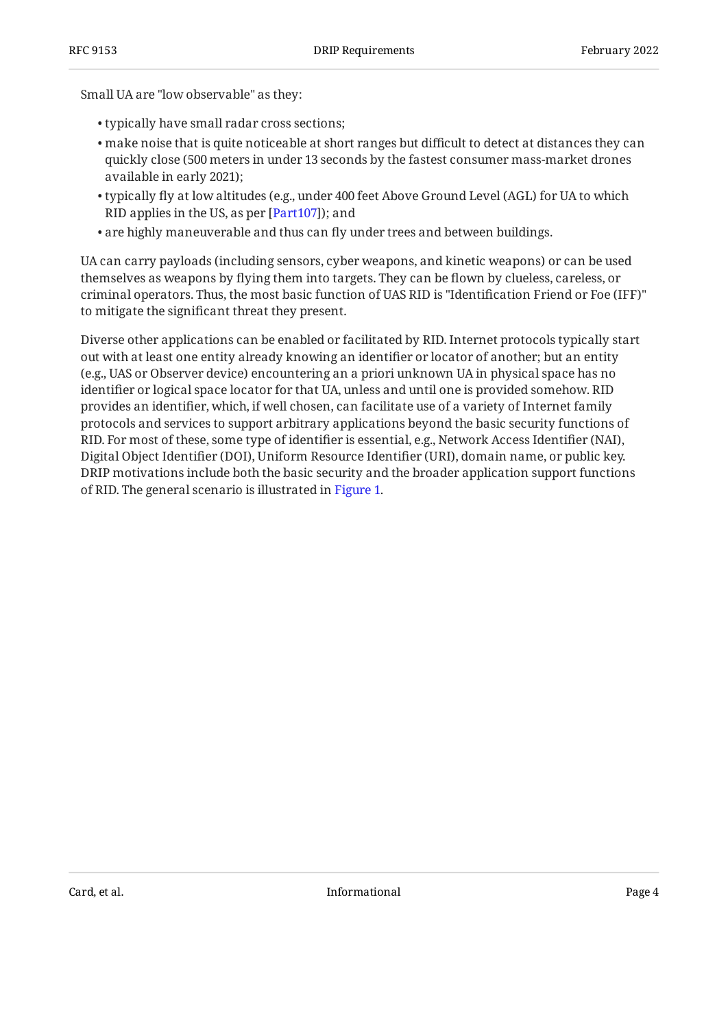Small UA are "low observable" as they:

- typically have small radar cross sections; •
- make noise that is quite noticeable at short ranges but difficult to detect at distances they can quickly close (500 meters in under 13 seconds by the fastest consumer mass-market drones available in early 2021);
- $\bullet$  typically fly at low altitudes (e.g., under 400 feet Above Ground Level (AGL) for UA to which RID applies in the US, as per [Part107]); and
- are highly maneuverable and thus can fly under trees and between buildings. •

UA can carry payloads (including sensors, cyber weapons, and kinetic weapons) or can be used themselves as weapons by flying them into targets. They can be flown by clueless, careless, or criminal operators. Thus, the most basic function of UAS RID is "Identification Friend or Foe (IFF)" to mitigate the significant threat they present.

<span id="page-3-0"></span>Diverse other applications can be enabled or facilitated by RID. Internet protocols typically start out with at least one entity already knowing an identifier or locator of another; but an entity (e.g., UAS or Observer device) encountering an a priori unknown UA in physical space has no identifier or logical space locator for that UA, unless and until one is provided somehow. RID provides an identifier, which, if well chosen, can facilitate use of a variety of Internet family protocols and services to support arbitrary applications beyond the basic security functions of RID. For most of these, some type of identifier is essential, e.g., Network Access Identifier (NAI), Digital Object Identifier (DOI), Uniform Resource Identifier (URI), domain name, or public key. DRIP motivations include both the basic security and the broader application support functions of RID. The general scenario is illustrated in [Figure 1.](#page-4-0)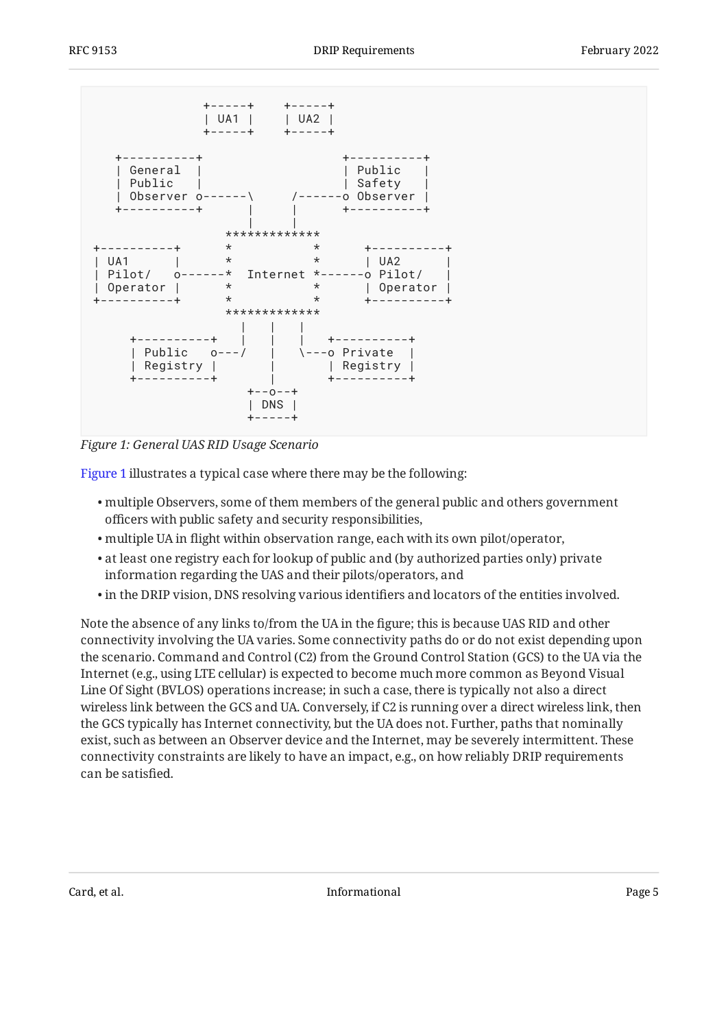<span id="page-4-0"></span>

*[Figure 1:](#page-4-0) [General UAS RID Usage Scenario](#page-3-0)* 

[Figure 1](#page-4-0) illustrates a typical case where there may be the following:

- multiple Observers, some of them members of the general public and others government officers with public safety and security responsibilities,
- multiple UA in flight within observation range, each with its own pilot/operator, •
- $\bullet$  at least one registry each for lookup of public and (by authorized parties only) private information regarding the UAS and their pilots/operators, and
- $\bullet$  in the DRIP vision, DNS resolving various identifiers and locators of the entities involved.

Note the absence of any links to/from the UA in the figure; this is because UAS RID and other connectivity involving the UA varies. Some connectivity paths do or do not exist depending upon the scenario. Command and Control (C2) from the Ground Control Station (GCS) to the UA via the Internet (e.g., using LTE cellular) is expected to become much more common as Beyond Visual Line Of Sight (BVLOS) operations increase; in such a case, there is typically not also a direct wireless link between the GCS and UA. Conversely, if C2 is running over a direct wireless link, then the GCS typically has Internet connectivity, but the UA does not. Further, paths that nominally exist, such as between an Observer device and the Internet, may be severely intermittent. These connectivity constraints are likely to have an impact, e.g., on how reliably DRIP requirements can be satisfied.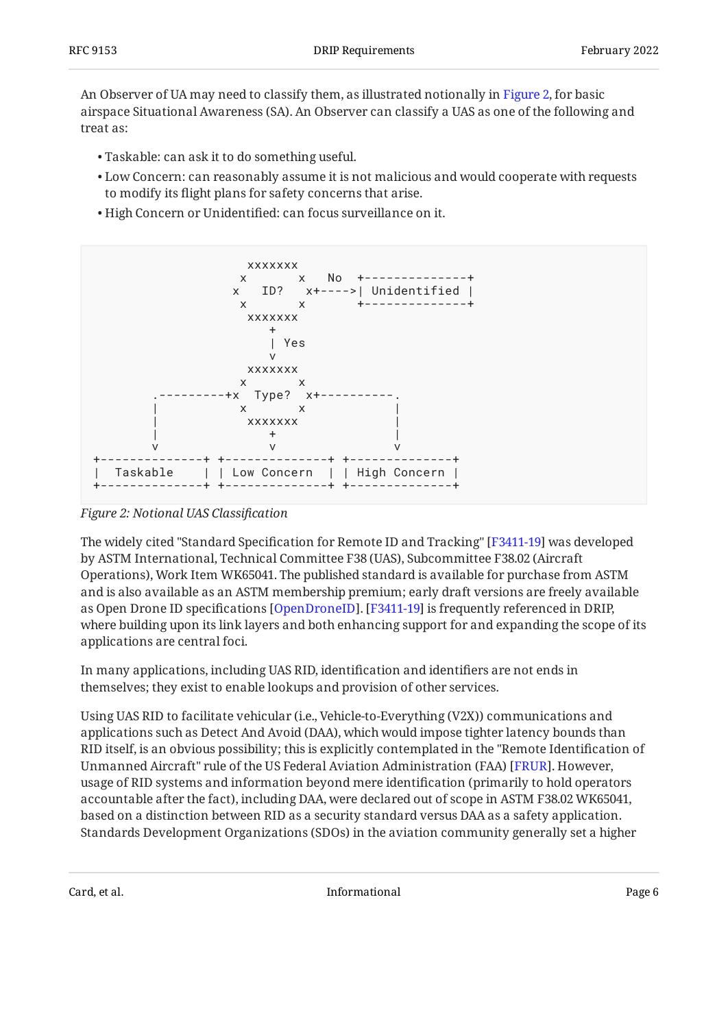An Observer of UA may need to classify them, as illustrated notionally in [Figure 2,](#page-5-0) for basic airspace Situational Awareness (SA). An Observer can classify a UAS as one of the following and treat as:

- Taskable: can ask it to do something useful. •
- $\bullet$  Low Concern: can reasonably assume it is not malicious and would cooperate with requests to modify its flight plans for safety concerns that arise.
- High Concern or Unidentified: can focus surveillance on it. •

<span id="page-5-0"></span>

*[Figure 2: Notional UAS Classi](#page-5-0)fication* 

The widely cited "Standard Specification for Remote ID and Tracking" [F3411-19] was developed by ASTM International, Technical Committee F38 (UAS), Subcommittee F38.02 (Aircraft Operations), Work Item WK65041. The published standard is available for purchase from ASTM and is also available as an ASTM membership premium; early draft versions are freely available as Open Drone ID specifications [\[OpenDroneID\]](#page-36-1). [[F3411-19](#page-34-3)] is frequently referenced in DRIP, where building upon its link layers and both enhancing support for and expanding the scope of its applications are central foci.

In many applications, including UAS RID, identification and identifiers are not ends in themselves; they exist to enable lookups and provision of other services.

Using UAS RID to facilitate vehicular (i.e., Vehicle-to-Everything (V2X)) communications and applications such as Detect And Avoid (DAA), which would impose tighter latency bounds than RID itself, is an obvious possibility; this is explicitly contemplated in the "Remote Identification of Unmanned Aircraft" rule of the US Federal Aviation Administration (FAA) [[FRUR\]](#page-35-0). However, usage of RID systems and information beyond mere identification (primarily to hold operators accountable after the fact), including DAA, were declared out of scope in ASTM F38.02 WK65041, based on a distinction between RID as a security standard versus DAA as a safety application. Standards Development Organizations (SDOs) in the aviation community generally set a higher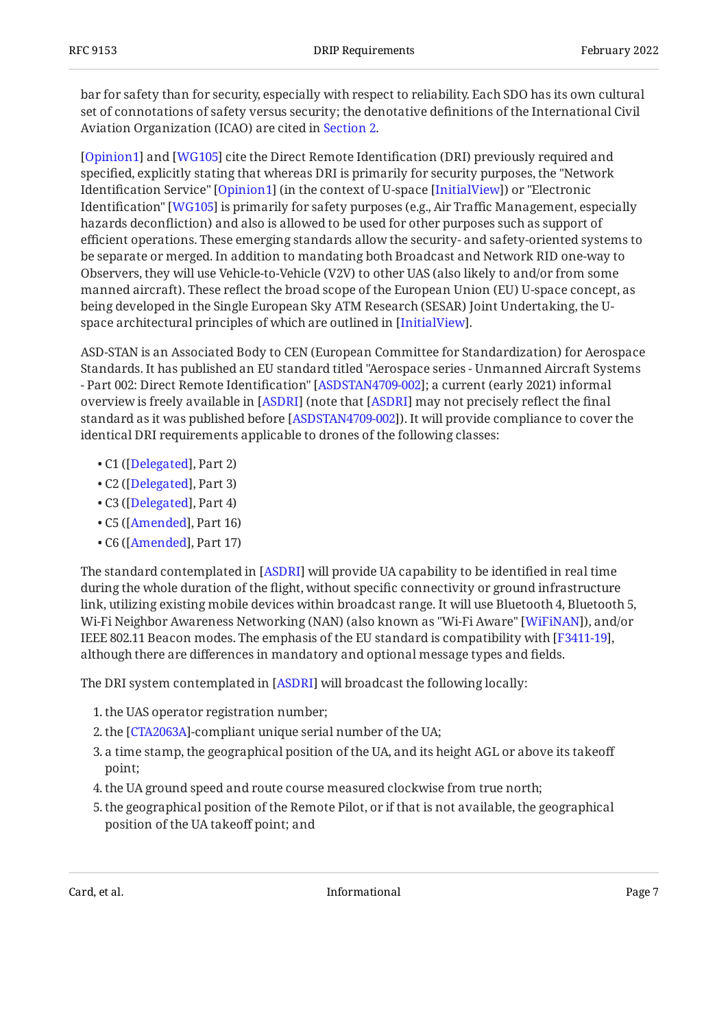bar for safety than for security, especially with respect to reliability. Each SDO has its own cultural set of connotations of safety versus security; the denotative definitions of the International Civil Aviation Organization (ICAO) are cited in [Section 2.](#page-10-1)

[[Opinion1\]](#page-36-2) and [[WG105\]](#page-37-1) cite the Direct Remote Identification (DRI) previously required and specified, explicitly stating that whereas DRI is primarily for security purposes, the "Network Identification Service" [Opinion1] (in the context of U-space [InitialView]) or "Electronic Identification" [WG105] is primarily for safety purposes (e.g., Air Traffic Management, especially hazards deconfliction) and also is allowed to be used for other purposes such as support of efficient operations. These emerging standards allow the security- and safety-oriented systems to be separate or merged. In addition to mandating both Broadcast and Network RID one-way to Observers, they will use Vehicle-to-Vehicle (V2V) to other UAS (also likely to and/or from some manned aircraft). These reflect the broad scope of the European Union (EU) U-space concept, as being developed in the Single European Sky ATM Research (SESAR) Joint Undertaking, the Uspace architectural principles of which are outlined in [InitialView].

ASD-STAN is an Associated Body to CEN (European Committee for Standardization) for Aerospace Standards. It has published an EU standard titled "Aerospace series - Unmanned Aircraft Systems - Part 002: Direct Remote Identification" [ASDSTAN4709-002]; a current (early 2021) informal overview is freely available in [ASDRI] (note that [ASDRI] may not precisely reflect the final standard as it was published before [\[ASDSTAN4709-002](#page-34-4)]). It will provide compliance to cover the identical DRI requirements applicable to drones of the following classes:

- C1 ([[Delegated](#page-34-6)], Part 2)
- C2 ([Delegated], Part 3)
- C3 ([Delegated], Part 4)
- C5 ([Amended], Part 16)
- C6 ([Amended], Part 17)

The standard contemplated in [[ASDRI\]](#page-34-5) will provide UA capability to be identified in real time during the whole duration of the flight, without specific connectivity or ground infrastructure link, utilizing existing mobile devices within broadcast range. It will use Bluetooth 4, Bluetooth 5, Wi-Fi Neighbor Awareness Networking (NAN) (also known as "Wi-Fi Aware" [[WiFiNAN\]](#page-37-2)), and/or IEEE 802.11 Beacon modes. The emphasis of the EU standard is compatibility with [F3411-19], although there are differences in mandatory and optional message types and fields.

The DRI system contemplated in [ASDRI] will broadcast the following locally:

- 1. the UAS operator registration number;
- 2. the [[CTA2063A\]](#page-34-8)-compliant unique serial number of the UA;
- a time stamp, the geographical position of the UA, and its height AGL or above its takeoff 3. point;
- the UA ground speed and route course measured clockwise from true north; 4.
- 5. the geographical position of the Remote Pilot, or if that is not available, the geographical position of the UA takeoff point; and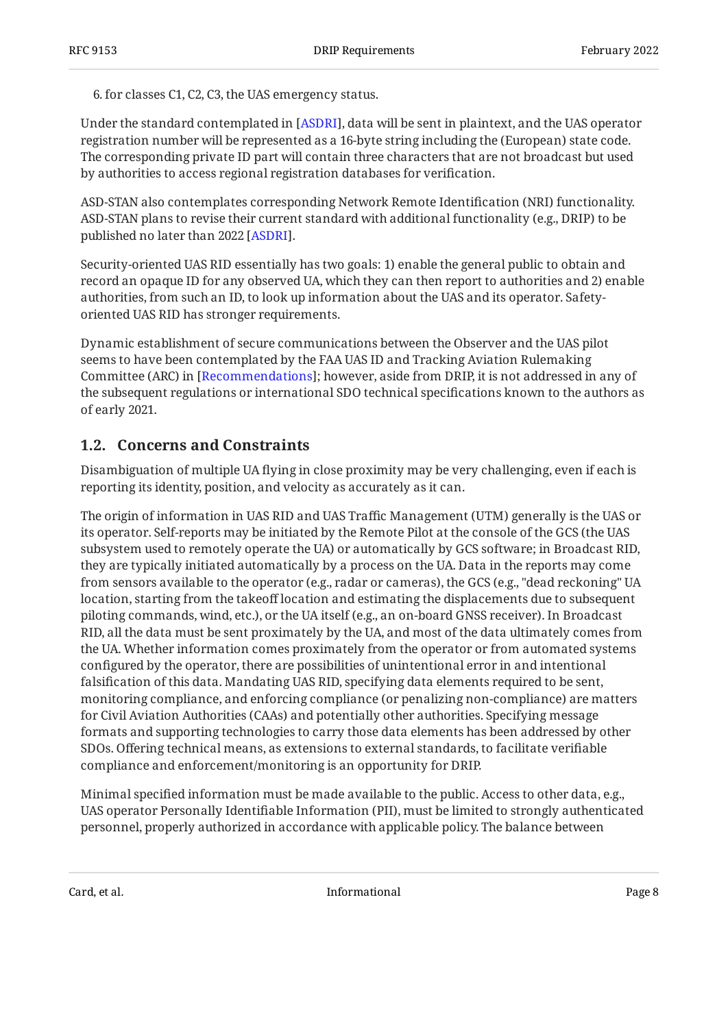6. for classes C1, C2, C3, the UAS emergency status.

Under the standard contemplated in [ASDRI], data will be sent in plaintext, and the UAS operator registration number will be represented as a 16-byte string including the (European) state code. The corresponding private ID part will contain three characters that are not broadcast but used by authorities to access regional registration databases for verification.

ASD-STAN also contemplates corresponding Network Remote Identification (NRI) functionality. ASD-STAN plans to revise their current standard with additional functionality (e.g., DRIP) to be published no later than 2022 [ASDRI].

Security-oriented UAS RID essentially has two goals: 1) enable the general public to obtain and record an opaque ID for any observed UA, which they can then report to authorities and 2) enable authorities, from such an ID, to look up information about the UAS and its operator. Safetyoriented UAS RID has stronger requirements.

Dynamic establishment of secure communications between the Observer and the UAS pilot seems to have been contemplated by the FAA UAS ID and Tracking Aviation Rulemaking Committee (ARC) in [Recommendations]; however, aside from DRIP, it is not addressed in any of the subsequent regulations or international SDO technical specifications known to the authors as of early 2021.

### <span id="page-7-0"></span>**[1.2. Concerns and Constraints](#page-7-0)**

Disambiguation of multiple UA flying in close proximity may be very challenging, even if each is reporting its identity, position, and velocity as accurately as it can.

The origin of information in UAS RID and UAS Traffic Management (UTM) generally is the UAS or its operator. Self-reports may be initiated by the Remote Pilot at the console of the GCS (the UAS subsystem used to remotely operate the UA) or automatically by GCS software; in Broadcast RID, they are typically initiated automatically by a process on the UA. Data in the reports may come from sensors available to the operator (e.g., radar or cameras), the GCS (e.g., "dead reckoning" UA location, starting from the takeoff location and estimating the displacements due to subsequent piloting commands, wind, etc.), or the UA itself (e.g., an on-board GNSS receiver). In Broadcast RID, all the data must be sent proximately by the UA, and most of the data ultimately comes from the UA. Whether information comes proximately from the operator or from automated systems configured by the operator, there are possibilities of unintentional error in and intentional falsification of this data. Mandating UAS RID, specifying data elements required to be sent, monitoring compliance, and enforcing compliance (or penalizing non-compliance) are matters for Civil Aviation Authorities (CAAs) and potentially other authorities. Specifying message formats and supporting technologies to carry those data elements has been addressed by other SDOs. Offering technical means, as extensions to external standards, to facilitate verifiable compliance and enforcement/monitoring is an opportunity for DRIP.

Minimal specified information must be made available to the public. Access to other data, e.g., UAS operator Personally Identifiable Information (PII), must be limited to strongly authenticated personnel, properly authorized in accordance with applicable policy. The balance between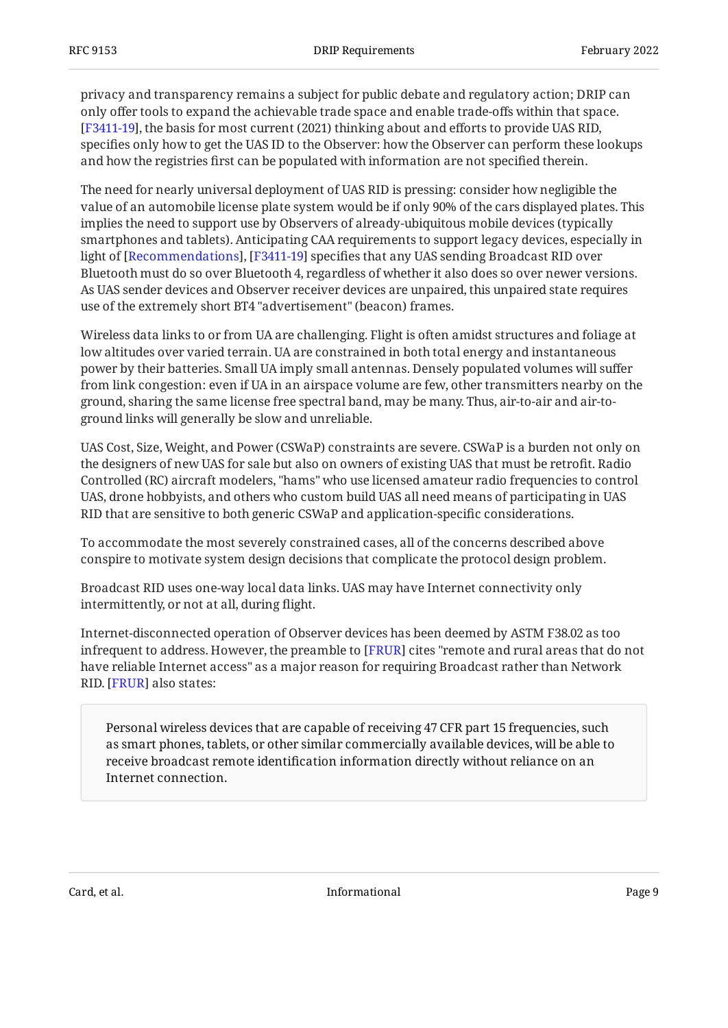privacy and transparency remains a subject for public debate and regulatory action; DRIP can only offer tools to expand the achievable trade space and enable trade-offs within that space. , the basis for most current (2021) thinking about and efforts to provide UAS RID, [[F3411-19](#page-34-3)] specifies only how to get the UAS ID to the Observer: how the Observer can perform these lookups and how the registries first can be populated with information are not specified therein.

The need for nearly universal deployment of UAS RID is pressing: consider how negligible the value of an automobile license plate system would be if only 90% of the cars displayed plates. This implies the need to support use by Observers of already-ubiquitous mobile devices (typically smartphones and tablets). Anticipating CAA requirements to support legacy devices, especially in light of [Recommendations], [F3411-19] specifies that any UAS sending Broadcast RID over Bluetooth must do so over Bluetooth 4, regardless of whether it also does so over newer versions. As UAS sender devices and Observer receiver devices are unpaired, this unpaired state requires use of the extremely short BT4 "advertisement" (beacon) frames.

Wireless data links to or from UA are challenging. Flight is often amidst structures and foliage at low altitudes over varied terrain. UA are constrained in both total energy and instantaneous power by their batteries. Small UA imply small antennas. Densely populated volumes will suffer from link congestion: even if UA in an airspace volume are few, other transmitters nearby on the ground, sharing the same license free spectral band, may be many. Thus, air-to-air and air-toground links will generally be slow and unreliable.

UAS Cost, Size, Weight, and Power (CSWaP) constraints are severe. CSWaP is a burden not only on the designers of new UAS for sale but also on owners of existing UAS that must be retrofit. Radio Controlled (RC) aircraft modelers, "hams" who use licensed amateur radio frequencies to control UAS, drone hobbyists, and others who custom build UAS all need means of participating in UAS RID that are sensitive to both generic CSWaP and application-specific considerations.

To accommodate the most severely constrained cases, all of the concerns described above conspire to motivate system design decisions that complicate the protocol design problem.

Broadcast RID uses one-way local data links. UAS may have Internet connectivity only intermittently, or not at all, during flight.

Internet-disconnected operation of Observer devices has been deemed by ASTM F38.02 as too infrequent to address. However, the preamble to [FRUR] cites "remote and rural areas that do not have reliable Internet access" as a major reason for requiring Broadcast rather than Network RID. [FRUR] also states:

Personal wireless devices that are capable of receiving 47 CFR part 15 frequencies, such as smart phones, tablets, or other similar commercially available devices, will be able to receive broadcast remote identification information directly without reliance on an Internet connection.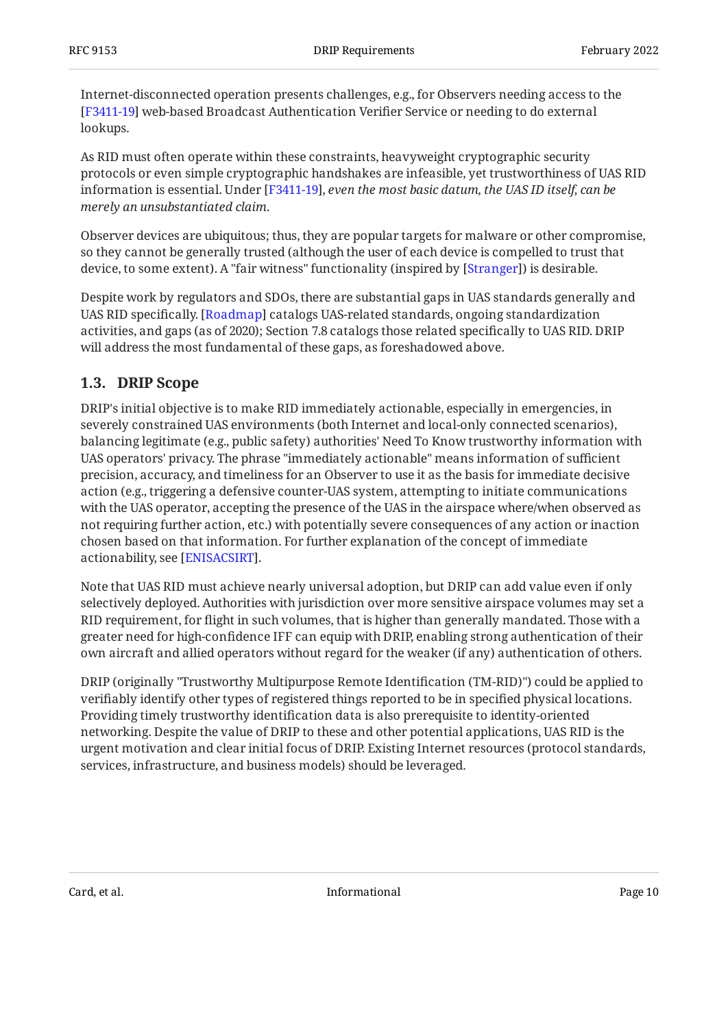Internet-disconnected operation presents challenges, e.g., for Observers needing access to the [[F3411-19](#page-34-3)] web-based Broadcast Authentication Verifier Service or needing to do external lookups.

As RID must often operate within these constraints, heavyweight cryptographic security protocols or even simple cryptographic handshakes are infeasible, yet trustworthiness of UAS RID information is essential. Under [F3411-19], *even the most basic datum, the UAS ID itself, can be merely an unsubstantiated claim*.

Observer devices are ubiquitous; thus, they are popular targets for malware or other compromise, so they cannot be generally trusted (although the user of each device is compelled to trust that device, to some extent). A "fair witness" functionality (inspired by [Stranger]) is desirable.

Despite work by regulators and SDOs, there are substantial gaps in UAS standards generally and UAS RID specifically. [Roadmap] catalogs UAS-related standards, ongoing standardization activities, and gaps (as of 2020); Section 7.8 catalogs those related specifically to UAS RID. DRIP will address the most fundamental of these gaps, as foreshadowed above.

### <span id="page-9-0"></span>**[1.3. DRIP Scope](#page-9-0)**

DRIP's initial objective is to make RID immediately actionable, especially in emergencies, in severely constrained UAS environments (both Internet and local-only connected scenarios), balancing legitimate (e.g., public safety) authorities' Need To Know trustworthy information with UAS operators' privacy. The phrase "immediately actionable" means information of sufficient precision, accuracy, and timeliness for an Observer to use it as the basis for immediate decisive action (e.g., triggering a defensive counter-UAS system, attempting to initiate communications with the UAS operator, accepting the presence of the UAS in the airspace where/when observed as not requiring further action, etc.) with potentially severe consequences of any action or inaction chosen based on that information. For further explanation of the concept of immediate actionability, see [ENISACSIRT].

Note that UAS RID must achieve nearly universal adoption, but DRIP can add value even if only selectively deployed. Authorities with jurisdiction over more sensitive airspace volumes may set a RID requirement, for flight in such volumes, that is higher than generally mandated. Those with a greater need for high-confidence IFF can equip with DRIP, enabling strong authentication of their own aircraft and allied operators without regard for the weaker (if any) authentication of others.

DRIP (originally "Trustworthy Multipurpose Remote Identification (TM-RID)") could be applied to verifiably identify other types of registered things reported to be in specified physical locations. Providing timely trustworthy identification data is also prerequisite to identity-oriented networking. Despite the value of DRIP to these and other potential applications, UAS RID is the urgent motivation and clear initial focus of DRIP. Existing Internet resources (protocol standards, services, infrastructure, and business models) should be leveraged.

Card, et al. **Informational Page 10 Card, et al.** Page 10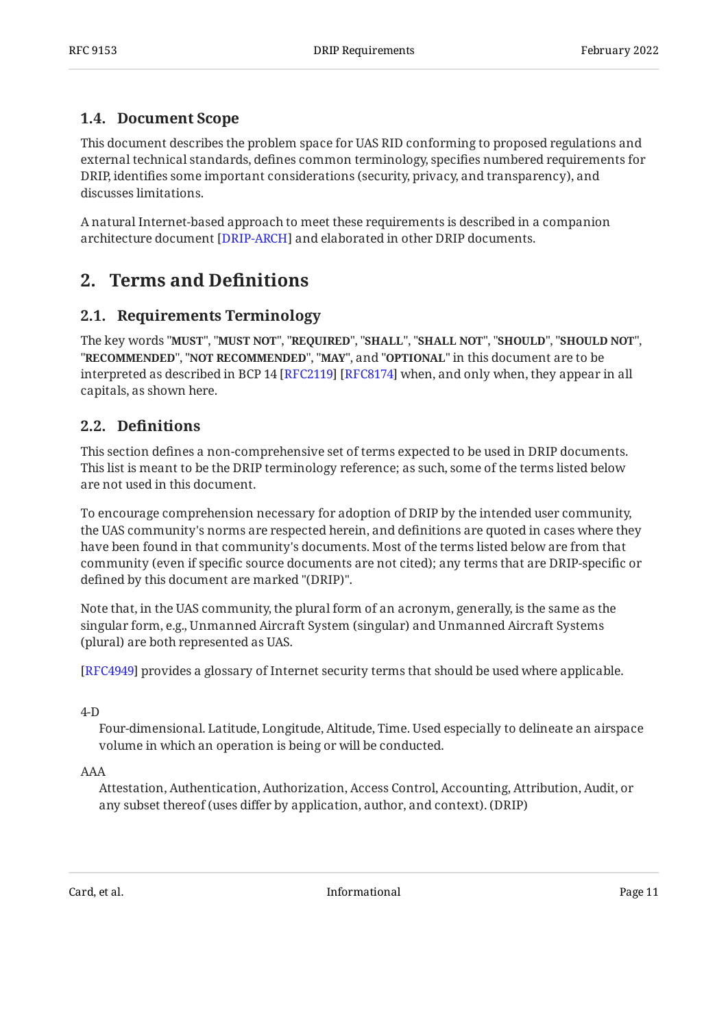### <span id="page-10-0"></span>**[1.4. Document Scope](#page-10-0)**

This document describes the problem space for UAS RID conforming to proposed regulations and external technical standards, defines common terminology, specifies numbered requirements for DRIP, identifies some important considerations (security, privacy, and transparency), and discusses limitations.

<span id="page-10-1"></span>A natural Internet-based approach to meet these requirements is described in a companion architecture document [DRIP-ARCH] and elaborated in other DRIP documents.

## <span id="page-10-2"></span>**[2. Terms and De](#page-10-1)finitions**

### **[2.1. Requirements Terminology](#page-10-2)**

The key words "MUST", "MUST NOT", "REQUIRED", "SHALL", "SHALL NOT", "SHOULD", "SHOULD NOT", "**RECOMMENDED", "NOT RECOMMENDED", "MAY",** and "OPTIONAL" in this document are to be interpreted as described in BCP 14 [RFC2119] [RFC8174] when, and only when, they appear in all capitals, as shown here.

### <span id="page-10-3"></span>**[2.2. D](#page-10-3)efi[nitions](#page-10-3)**

This section defines a non-comprehensive set of terms expected to be used in DRIP documents. This list is meant to be the DRIP terminology reference; as such, some of the terms listed below are not used in this document.

To encourage comprehension necessary for adoption of DRIP by the intended user community, the UAS community's norms are respected herein, and definitions are quoted in cases where they have been found in that community's documents. Most of the terms listed below are from that community (even if specific source documents are not cited); any terms that are DRIP-specific or defined by this document are marked "(DRIP)".

Note that, in the UAS community, the plural form of an acronym, generally, is the same as the singular form, e.g., Unmanned Aircraft System (singular) and Unmanned Aircraft Systems (plural) are both represented as UAS.

[[RFC4949\]](#page-36-5) provides a glossary of Internet security terms that should be used where applicable.

4-D

Four-dimensional. Latitude, Longitude, Altitude, Time. Used especially to delineate an airspace volume in which an operation is being or will be conducted.

#### AAA

Attestation, Authentication, Authorization, Access Control, Accounting, Attribution, Audit, or any subset thereof (uses differ by application, author, and context). (DRIP)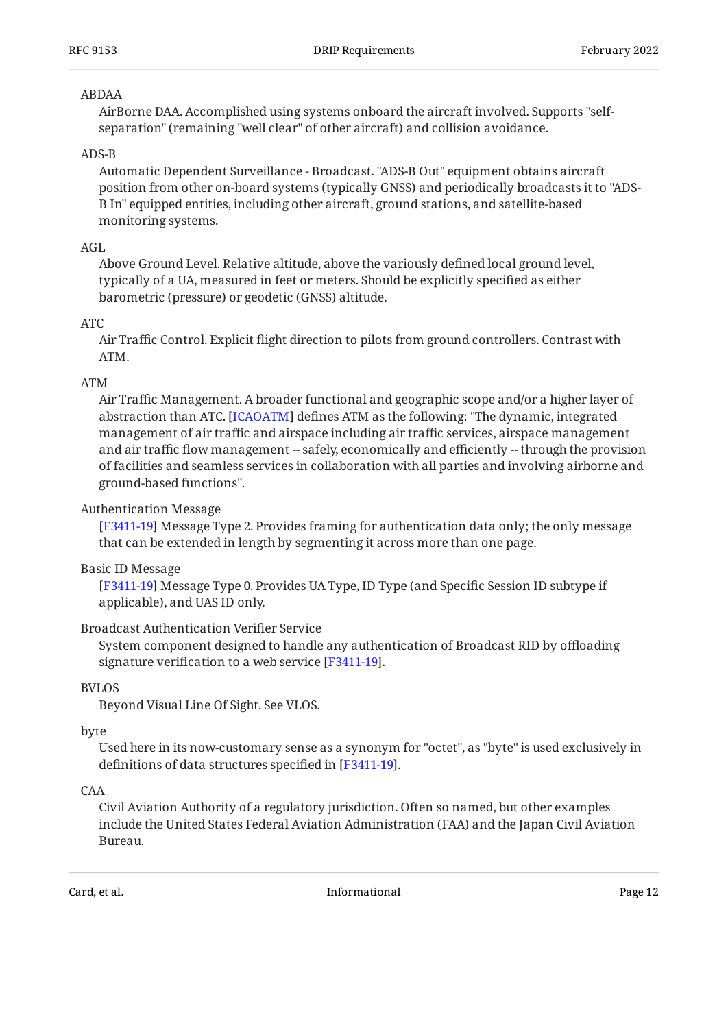#### ABDAA

AirBorne DAA. Accomplished using systems onboard the aircraft involved. Supports "selfseparation" (remaining "well clear" of other aircraft) and collision avoidance.

#### ADS-B

Automatic Dependent Surveillance - Broadcast. "ADS-B Out" equipment obtains aircraft position from other on-board systems (typically GNSS) and periodically broadcasts it to "ADS-B In" equipped entities, including other aircraft, ground stations, and satellite-based monitoring systems.

#### AGL

Above Ground Level. Relative altitude, above the variously defined local ground level, typically of a UA, measured in feet or meters. Should be explicitly specified as either barometric (pressure) or geodetic (GNSS) altitude.

#### ATC

Air Traffic Control. Explicit flight direction to pilots from ground controllers. Contrast with ATM.

#### ATM

Air Traffic Management. A broader functional and geographic scope and/or a higher layer of abstraction than ATC. [\[ICAOATM](#page-35-3)] defines ATM as the following: "The dynamic, integrated management of air traffic and airspace including air traffic services, airspace management and air traffic flow management -- safely, economically and efficiently -- through the provision of facilities and seamless services in collaboration with all parties and involving airborne and ground-based functions".

#### Authentication Message

 Message Type 2. Provides framing for authentication data only; the only message [[F3411-19](#page-34-3)] that can be extended in length by segmenting it across more than one page.

#### Basic ID Message

[[F3411-19](#page-34-3)] Message Type 0. Provides UA Type, ID Type (and Specific Session ID subtype if applicable), and UAS ID only.

#### Broadcast Authentication Verifier Service

System component designed to handle any authentication of Broadcast RID by offloading signature verification to a web service [F3411-19].

#### BVLOS

Beyond Visual Line Of Sight. See VLOS.

#### byte

Used here in its now-customary sense as a synonym for "octet", as "byte" is used exclusively in definitions of data structures specified in [F3411-19].

#### CAA

Civil Aviation Authority of a regulatory jurisdiction. Often so named, but other examples include the United States Federal Aviation Administration (FAA) and the Japan Civil Aviation Bureau.

Card, et al. **Informational Page 12 Card, et al.** Page 12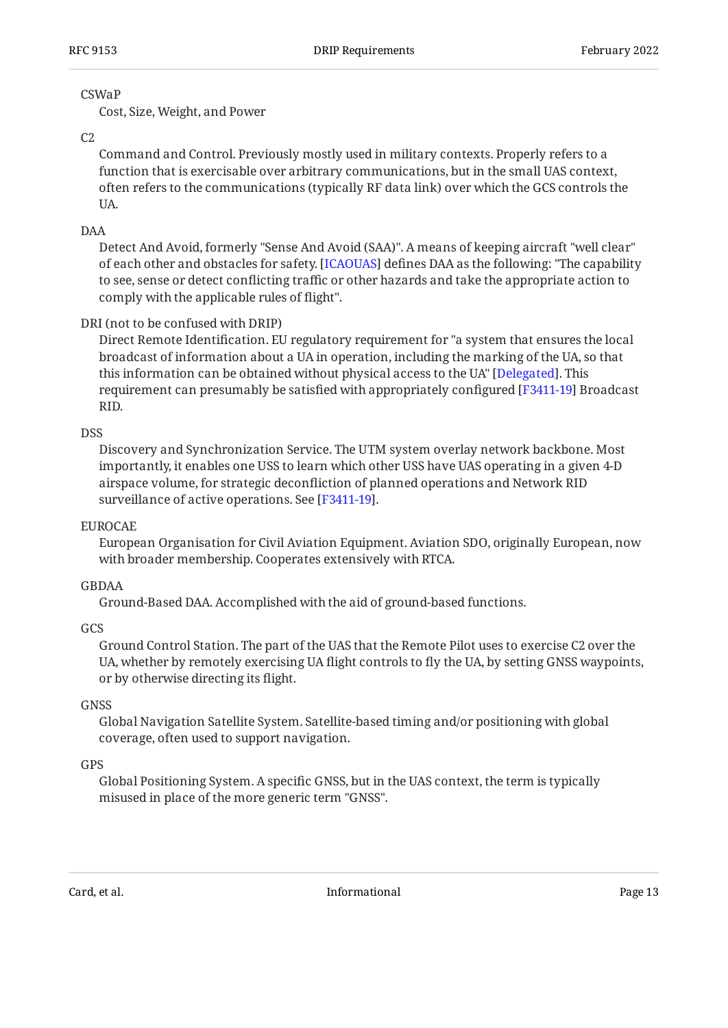#### CSWaP

Cost, Size, Weight, and Power

#### $C<sub>2</sub>$

Command and Control. Previously mostly used in military contexts. Properly refers to a function that is exercisable over arbitrary communications, but in the small UAS context, often refers to the communications (typically RF data link) over which the GCS controls the UA.

#### DAA

Detect And Avoid, formerly "Sense And Avoid (SAA)". A means of keeping aircraft "well clear" of each other and obstacles for safety. [\[ICAOUAS](#page-35-4)] defines DAA as the following: "The capability to see, sense or detect conflicting traffic or other hazards and take the appropriate action to comply with the applicable rules of flight".

#### DRI (not to be confused with DRIP)

Direct Remote Identification. EU regulatory requirement for "a system that ensures the local broadcast of information about a UA in operation, including the marking of the UA, so that this information can be obtained without physical access to the UA" [Delegated]. This requirement can presumably be satisfied with appropriately configured [F3411-19] Broadcast RID.

#### **DSS**

Discovery and Synchronization Service. The UTM system overlay network backbone. Most importantly, it enables one USS to learn which other USS have UAS operating in a given 4-D airspace volume, for strategic deconfliction of planned operations and Network RID surveillance of active operations. See [F3411-19].

#### EUROCAE

European Organisation for Civil Aviation Equipment. Aviation SDO, originally European, now with broader membership. Cooperates extensively with RTCA.

#### GBDAA

Ground-Based DAA. Accomplished with the aid of ground-based functions.

#### **GCS**

Ground Control Station. The part of the UAS that the Remote Pilot uses to exercise C2 over the UA, whether by remotely exercising UA flight controls to fly the UA, by setting GNSS waypoints, or by otherwise directing its flight.

#### GNSS

Global Navigation Satellite System. Satellite-based timing and/or positioning with global coverage, often used to support navigation.

#### **GPS**

Global Positioning System. A specific GNSS, but in the UAS context, the term is typically misused in place of the more generic term "GNSS".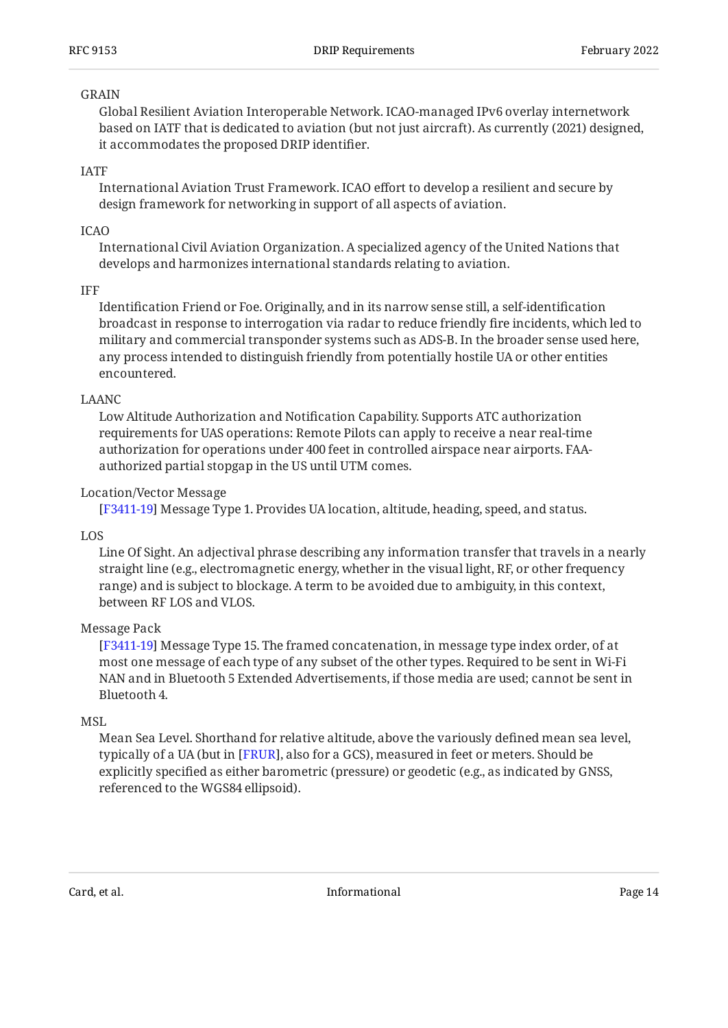#### GRAIN

Global Resilient Aviation Interoperable Network. ICAO-managed IPv6 overlay internetwork based on IATF that is dedicated to aviation (but not just aircraft). As currently (2021) designed, it accommodates the proposed DRIP identifier.

#### IATF

International Aviation Trust Framework. ICAO effort to develop a resilient and secure by design framework for networking in support of all aspects of aviation.

#### ICAO

International Civil Aviation Organization. A specialized agency of the United Nations that develops and harmonizes international standards relating to aviation.

#### IFF

Identification Friend or Foe. Originally, and in its narrow sense still, a self-identification broadcast in response to interrogation via radar to reduce friendly fire incidents, which led to military and commercial transponder systems such as ADS-B. In the broader sense used here, any process intended to distinguish friendly from potentially hostile UA or other entities encountered.

#### LAANC

Low Altitude Authorization and Notification Capability. Supports ATC authorization requirements for UAS operations: Remote Pilots can apply to receive a near real-time authorization for operations under 400 feet in controlled airspace near airports. FAAauthorized partial stopgap in the US until UTM comes.

#### Location/Vector Message

Message Type 1. Provides UA location, altitude, heading, speed, and status. [[F3411-19](#page-34-3)]

#### LOS

Line Of Sight. An adjectival phrase describing any information transfer that travels in a nearly straight line (e.g., electromagnetic energy, whether in the visual light, RF, or other frequency range) and is subject to blockage. A term to be avoided due to ambiguity, in this context, between RF LOS and VLOS.

#### Message Pack

[[F3411-19](#page-34-3)] Message Type 15. The framed concatenation, in message type index order, of at most one message of each type of any subset of the other types. Required to be sent in Wi-Fi NAN and in Bluetooth 5 Extended Advertisements, if those media are used; cannot be sent in Bluetooth 4.

#### MSL

Mean Sea Level. Shorthand for relative altitude, above the variously defined mean sea level, typically of a UA (but in [FRUR], also for a GCS), measured in feet or meters. Should be explicitly specified as either barometric (pressure) or geodetic (e.g., as indicated by GNSS, referenced to the WGS84 ellipsoid).

Card, et al. **Informational Card, et al.** Page 14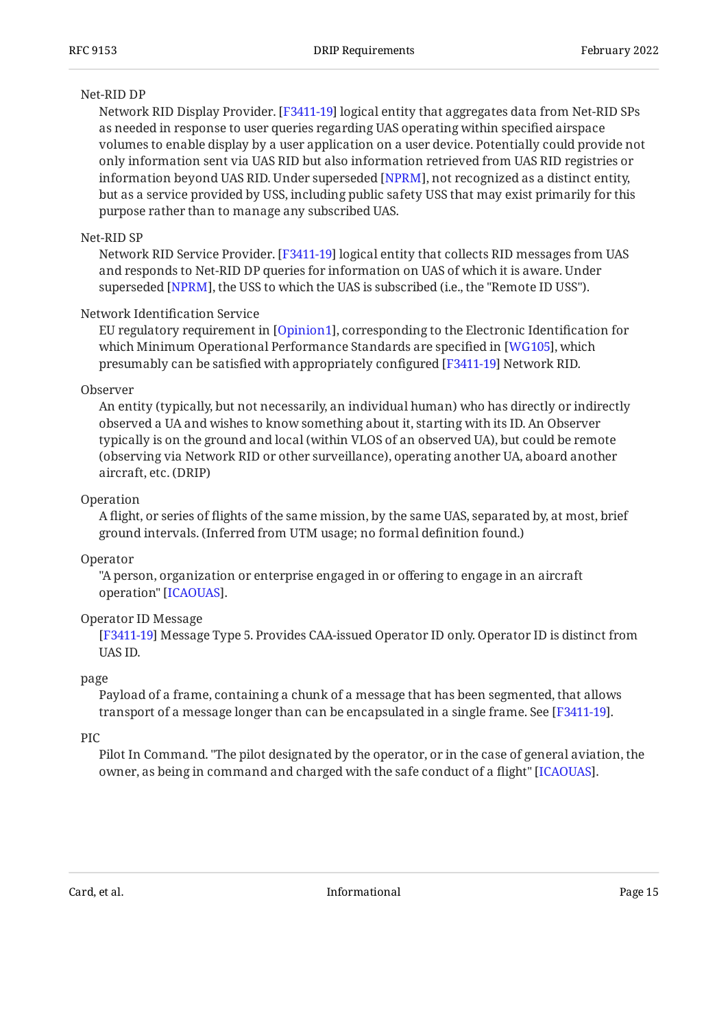#### Net-RID DP

Network RID Display Provider. [[F3411-19](#page-34-3)] logical entity that aggregates data from Net-RID SPs as needed in response to user queries regarding UAS operating within specified airspace volumes to enable display by a user application on a user device. Potentially could provide not only information sent via UAS RID but also information retrieved from UAS RID registries or information beyond UAS RID. Under superseded [NPRM], not recognized as a distinct entity, but as a service provided by USS, including public safety USS that may exist primarily for this purpose rather than to manage any subscribed UAS.

#### Net-RID SP

Network RID Service Provider. [F3411-19] logical entity that collects RID messages from UAS and responds to Net-RID DP queries for information on UAS of which it is aware. Under superseded [NPRM], the USS to which the UAS is subscribed (i.e., the "Remote ID USS").

#### Network Identification Service

EU regulatory requirement in [Opinion1], corresponding to the Electronic Identification for which Minimum Operational Performance Standards are specified in [WG105], which presumably can be satisfied with appropriately configured [F3411-19] Network RID.

#### Observer

An entity (typically, but not necessarily, an individual human) who has directly or indirectly observed a UA and wishes to know something about it, starting with its ID. An Observer typically is on the ground and local (within VLOS of an observed UA), but could be remote (observing via Network RID or other surveillance), operating another UA, aboard another aircraft, etc. (DRIP)

#### Operation

A flight, or series of flights of the same mission, by the same UAS, separated by, at most, brief ground intervals. (Inferred from UTM usage; no formal definition found.)

#### Operator

"A person, organization or enterprise engaged in or offering to engage in an aircraft operation" [\[ICAOUAS\]](#page-35-4).

#### Operator ID Message

 Message Type 5. Provides CAA-issued Operator ID only. Operator ID is distinct from [[F3411-19](#page-34-3)] UAS ID.

#### page

Payload of a frame, containing a chunk of a message that has been segmented, that allows transport of a message longer than can be encapsulated in a single frame. See [\[F3411-19](#page-34-3)].

#### PIC

Pilot In Command. "The pilot designated by the operator, or in the case of general aviation, the owner, as being in command and charged with the safe conduct of a flight" [[ICAOUAS\]](#page-35-4).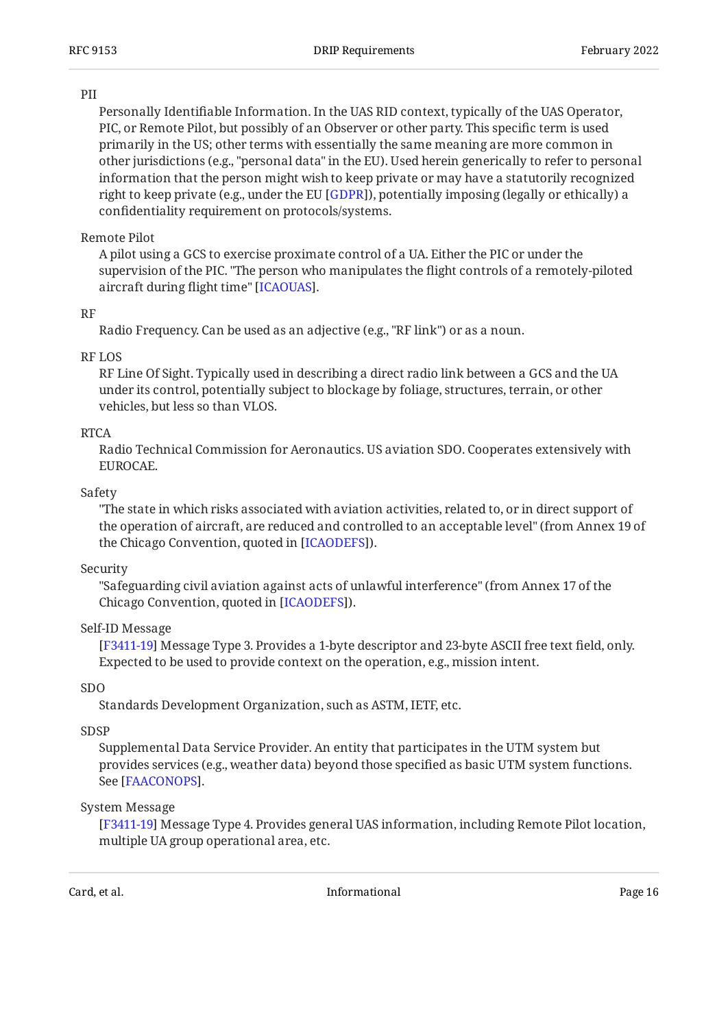#### PII

Personally Identifiable Information. In the UAS RID context, typically of the UAS Operator, PIC, or Remote Pilot, but possibly of an Observer or other party. This specific term is used primarily in the US; other terms with essentially the same meaning are more common in other jurisdictions (e.g., "personal data" in the EU). Used herein generically to refer to personal information that the person might wish to keep private or may have a statutorily recognized right to keep private (e.g., under the EU [[GDPR\]](#page-35-5)), potentially imposing (legally or ethically) a confidentiality requirement on protocols/systems.

#### Remote Pilot

A pilot using a GCS to exercise proximate control of a UA. Either the PIC or under the supervision of the PIC. "The person who manipulates the flight controls of a remotely-piloted aircraft during flight time" [ICAOUAS].

#### RF

Radio Frequency. Can be used as an adjective (e.g., "RF link") or as a noun.

#### RF LOS

RF Line Of Sight. Typically used in describing a direct radio link between a GCS and the UA under its control, potentially subject to blockage by foliage, structures, terrain, or other vehicles, but less so than VLOS.

#### RTCA

Radio Technical Commission for Aeronautics. US aviation SDO. Cooperates extensively with EUROCAE.

#### Safety

"The state in which risks associated with aviation activities, related to, or in direct support of the operation of aircraft, are reduced and controlled to an acceptable level" (from Annex 19 of the Chicago Convention, quoted in [ICAODEFS]).

#### Security

"Safeguarding civil aviation against acts of unlawful interference" (from Annex 17 of the Chicago Convention, quoted in [\[ICAODEFS](#page-35-6)]).

#### Self-ID Message

 Message Type 3. Provides a 1-byte descriptor and 23-byte ASCII free text field, only. [[F3411-19](#page-34-3)] Expected to be used to provide context on the operation, e.g., mission intent.

#### SDO

Standards Development Organization, such as ASTM, IETF, etc.

#### SDSP

Supplemental Data Service Provider. An entity that participates in the UTM system but provides services (e.g., weather data) beyond those specified as basic UTM system functions. See [FAACONOPS].

#### System Message

 Message Type 4. Provides general UAS information, including Remote Pilot location, [[F3411-19](#page-34-3)] multiple UA group operational area, etc.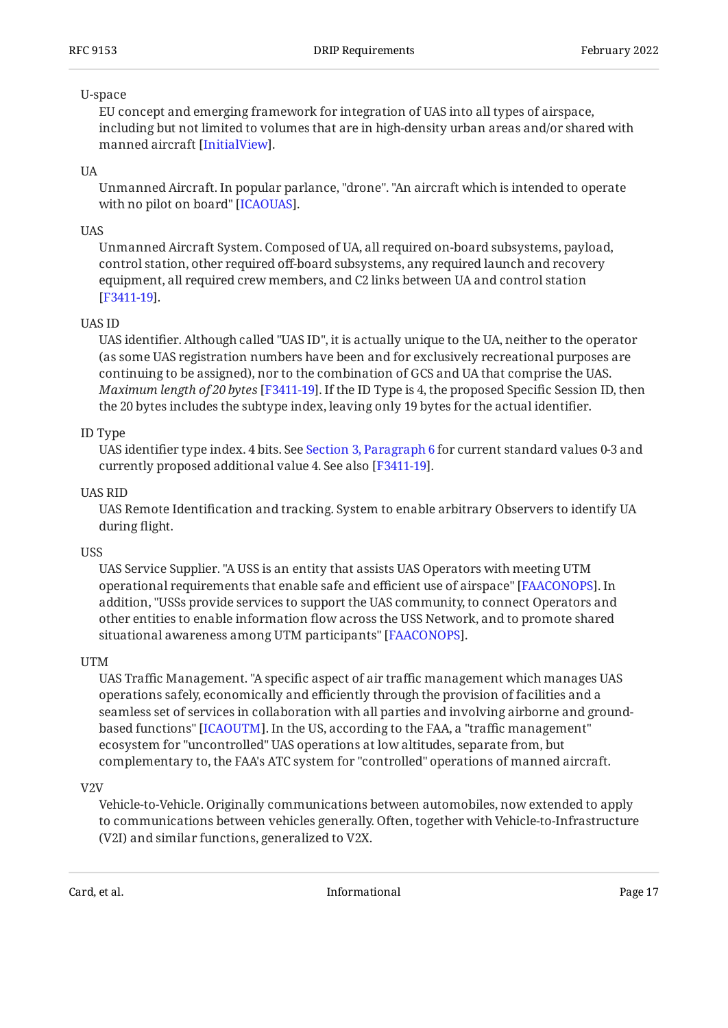#### U-space

EU concept and emerging framework for integration of UAS into all types of airspace, including but not limited to volumes that are in high-density urban areas and/or shared with manned aircraft [InitialView].

#### UA

Unmanned Aircraft. In popular parlance, "drone". "An aircraft which is intended to operate with no pilot on board" [ICAOUAS].

#### **UAS**

Unmanned Aircraft System. Composed of UA, all required on-board subsystems, payload, control station, other required off-board subsystems, any required launch and recovery equipment, all required crew members, and C2 links between UA and control station . [[F3411-19](#page-34-3)]

#### UAS ID

UAS identifier. Although called "UAS ID", it is actually unique to the UA, neither to the operator (as some UAS registration numbers have been and for exclusively recreational purposes are continuing to be assigned), nor to the combination of GCS and UA that comprise the UAS. *Maximum length of 20 bytes* [F3411-19]. If the ID Type is 4, the proposed Specific Session ID, then the 20 bytes includes the subtype index, leaving only 19 bytes for the actual identifier.

#### ID Type

UAS identifier type index. 4 bits. See [Section 3, Paragraph 6](#page-17-1) for current standard values 0-3 and currently proposed additional value 4. See also [F3411-19].

#### UAS RID

UAS Remote Identification and tracking. System to enable arbitrary Observers to identify UA during flight.

#### **USS**

UAS Service Supplier. "A USS is an entity that assists UAS Operators with meeting UTM operational requirements that enable safe and efficient use of airspace" [FAACONOPS]. In addition, "USSs provide services to support the UAS community, to connect Operators and other entities to enable information flow across the USS Network, and to promote shared situational awareness among UTM participants" [FAACONOPS].

#### UTM

UAS Traffic Management. "A specific aspect of air traffic management which manages UAS operations safely, economically and efficiently through the provision of facilities and a seamless set of services in collaboration with all parties and involving airborne and groundbased functions" [ICAOUTM]. In the US, according to the FAA, a "traffic management"  $\,$ ecosystem for "uncontrolled" UAS operations at low altitudes, separate from, but complementary to, the FAA's ATC system for "controlled" operations of manned aircraft.

#### V2V

Vehicle-to-Vehicle. Originally communications between automobiles, now extended to apply to communications between vehicles generally. Often, together with Vehicle-to-Infrastructure (V2I) and similar functions, generalized to V2X.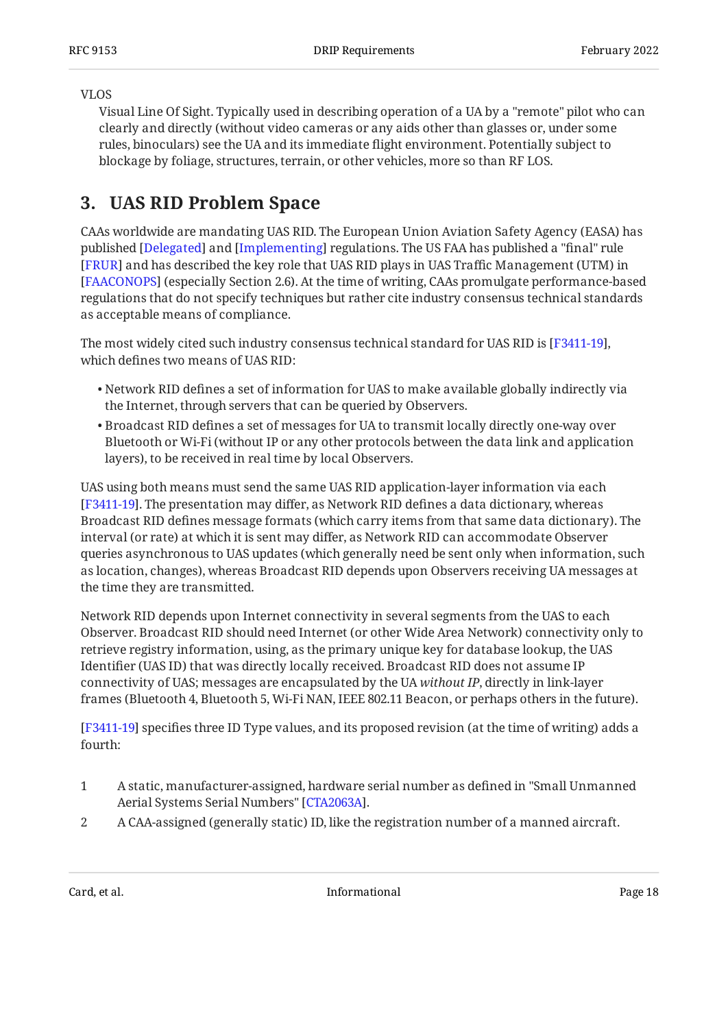#### VLOS

Visual Line Of Sight. Typically used in describing operation of a UA by a "remote" pilot who can clearly and directly (without video cameras or any aids other than glasses or, under some rules, binoculars) see the UA and its immediate flight environment. Potentially subject to blockage by foliage, structures, terrain, or other vehicles, more so than RF LOS.

## <span id="page-17-0"></span>**[3. UAS RID Problem Space](#page-17-0)**

CAAs worldwide are mandating UAS RID. The European Union Aviation Safety Agency (EASA) has published [[Delegated\]](#page-34-6) and [[Implementing\]](#page-36-7) regulations. The US FAA has published a "final" rule [[FRUR\]](#page-35-0) and has described the key role that UAS RID plays in UAS Traffic Management (UTM) in (especially Section 2.6). At the time of writing, CAAs promulgate performance-based [[FAACONOPS](#page-35-7)] regulations that do not specify techniques but rather cite industry consensus technical standards as acceptable means of compliance.

The most widely cited such industry consensus technical standard for UAS RID is [F3411-19],  $\,$ which defines two means of UAS RID:

- $\bullet$  Network RID defines a set of information for UAS to make available globally indirectly via the Internet, through servers that can be queried by Observers.
- $\bullet$  Broadcast RID defines a set of messages for UA to transmit locally directly one-way over Bluetooth or Wi-Fi (without IP or any other protocols between the data link and application layers), to be received in real time by local Observers.

UAS using both means must send the same UAS RID application-layer information via each [[F3411-19](#page-34-3)]. The presentation may differ, as Network RID defines a data dictionary, whereas Broadcast RID defines message formats (which carry items from that same data dictionary). The interval (or rate) at which it is sent may differ, as Network RID can accommodate Observer queries asynchronous to UAS updates (which generally need be sent only when information, such as location, changes), whereas Broadcast RID depends upon Observers receiving UA messages at the time they are transmitted.

Network RID depends upon Internet connectivity in several segments from the UAS to each Observer. Broadcast RID should need Internet (or other Wide Area Network) connectivity only to retrieve registry information, using, as the primary unique key for database lookup, the UAS Identifier (UAS ID) that was directly locally received. Broadcast RID does not assume IP connectivity of UAS; messages are encapsulated by the UA *without IP*, directly in link-layer frames (Bluetooth 4, Bluetooth 5, Wi-Fi NAN, IEEE 802.11 Beacon, or perhaps others in the future).

<span id="page-17-1"></span>[[F3411-19](#page-34-3)] specifies three ID Type values, and its proposed revision (at the time of writing) adds a fourth:

- 1 A static, manufacturer-assigned, hardware serial number as defined in "Small Unmanned Aerial Systems Serial Numbers" [CTA2063A].
- 2 A CAA-assigned (generally static) ID, like the registration number of a manned aircraft.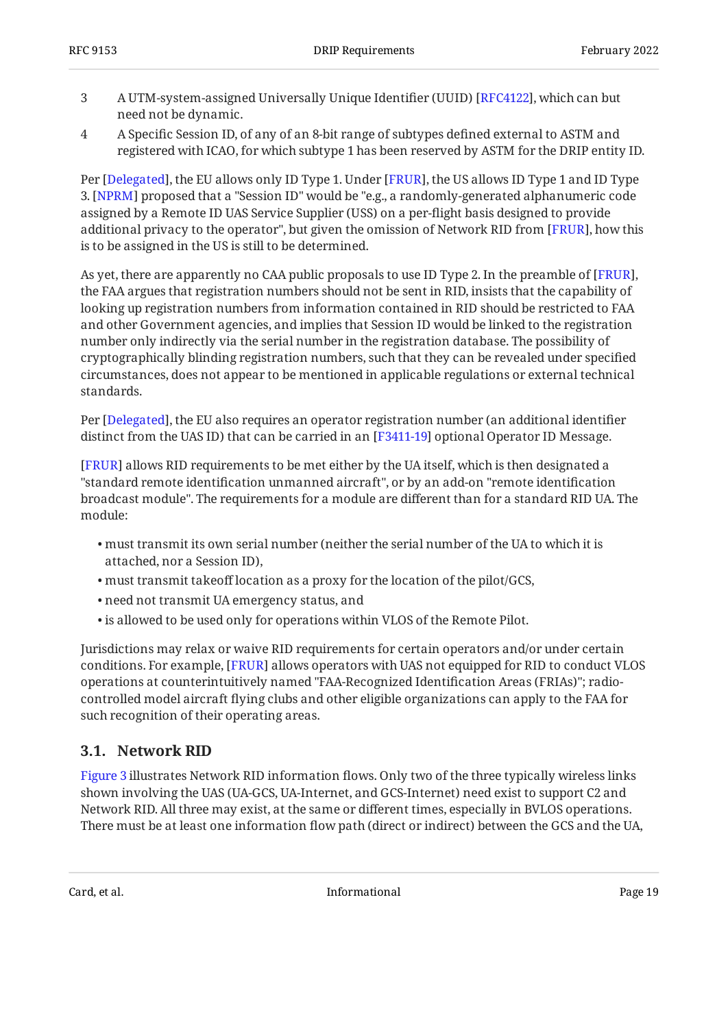- 3 A UTM-system-assigned Universally Unique Identifier (UUID) [[RFC4122\]](#page-36-8), which can but need not be dynamic.
- 4 A Specific Session ID, of any of an 8-bit range of subtypes defined external to ASTM and registered with ICAO, for which subtype 1 has been reserved by ASTM for the DRIP entity ID.

Per [Delegated], the EU allows only ID Type 1. Under [FRUR], the US allows ID Type 1 and ID Type  $3. \rm{[NPRM]}$  proposed that a "Session ID" would be "e.g., a randomly-generated alphanumeric code assigned by a Remote ID UAS Service Supplier (USS) on a per-flight basis designed to provide additional privacy to the operator", but given the omission of Network RID from [FRUR], how this is to be assigned in the US is still to be determined.

As yet, there are apparently no CAA public proposals to use ID Type 2. In the preamble of [FRUR], the FAA argues that registration numbers should not be sent in RID, insists that the capability of looking up registration numbers from information contained in RID should be restricted to FAA and other Government agencies, and implies that Session ID would be linked to the registration number only indirectly via the serial number in the registration database. The possibility of cryptographically blinding registration numbers, such that they can be revealed under specified circumstances, does not appear to be mentioned in applicable regulations or external technical standards.

Per [Delegated], the EU also requires an operator registration number (an additional identifier distinct from the UAS ID) that can be carried in an  $[{\rm F3411{\text{-}}19}]$  optional Operator ID Message.

[[FRUR\]](#page-35-0) allows RID requirements to be met either by the UA itself, which is then designated a "standard remote identification unmanned aircraft", or by an add-on "remote identification broadcast module". The requirements for a module are different than for a standard RID UA. The module:

- must transmit its own serial number (neither the serial number of the UA to which it is attached, nor a Session ID),
- must transmit takeoff location as a proxy for the location of the pilot/GCS, •
- need not transmit UA emergency status, and •
- is allowed to be used only for operations within VLOS of the Remote Pilot. •

Jurisdictions may relax or waive RID requirements for certain operators and/or under certain conditions. For example, [FRUR] allows operators with UAS not equipped for RID to conduct VLOS operations at counterintuitively named "FAA-Recognized Identification Areas (FRIAs)"; radiocontrolled model aircraft flying clubs and other eligible organizations can apply to the FAA for such recognition of their operating areas.

### <span id="page-18-0"></span>**[3.1. Network RID](#page-18-0)**

[Figure 3](#page-19-0) illustrates Network RID information flows. Only two of the three typically wireless links shown involving the UAS (UA-GCS, UA-Internet, and GCS-Internet) need exist to support C2 and Network RID. All three may exist, at the same or different times, especially in BVLOS operations. There must be at least one information flow path (direct or indirect) between the GCS and the UA,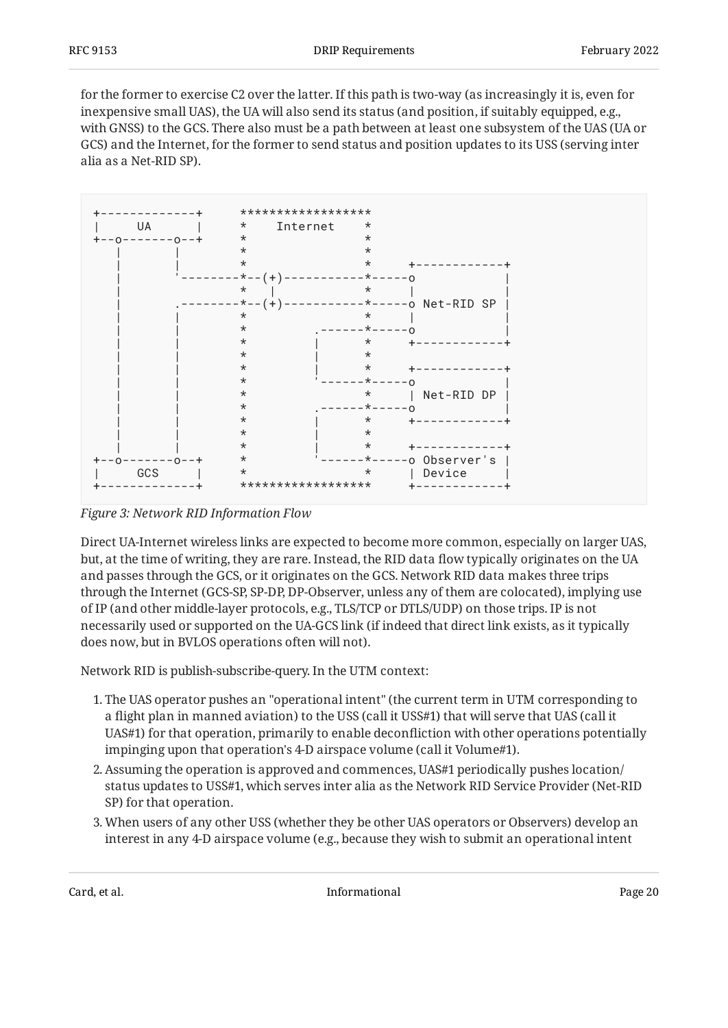for the former to exercise C2 over the latter. If this path is two-way (as increasingly it is, even for inexpensive small UAS), the UA will also send its status (and position, if suitably equipped, e.g., with GNSS) to the GCS. There also must be a path between at least one subsystem of the UAS (UA or GCS) and the Internet, for the former to send status and position updates to its USS (serving inter alia as a Net-RID SP).

<span id="page-19-0"></span>

*[Figure 3: Network RID Information Flow](#page-19-0)* 

Direct UA-Internet wireless links are expected to become more common, especially on larger UAS, but, at the time of writing, they are rare. Instead, the RID data flow typically originates on the UA and passes through the GCS, or it originates on the GCS. Network RID data makes three trips through the Internet (GCS-SP, SP-DP, DP-Observer, unless any of them are colocated), implying use of IP (and other middle-layer protocols, e.g., TLS/TCP or DTLS/UDP) on those trips. IP is not necessarily used or supported on the UA-GCS link (if indeed that direct link exists, as it typically does now, but in BVLOS operations often will not).

Network RID is publish-subscribe-query. In the UTM context:

- 1. The UAS operator pushes an "operational intent" (the current term in UTM corresponding to a flight plan in manned aviation) to the USS (call it USS#1) that will serve that UAS (call it UAS#1) for that operation, primarily to enable deconfliction with other operations potentially impinging upon that operation's 4-D airspace volume (call it Volume#1).
- Assuming the operation is approved and commences, UAS#1 periodically pushes location/ 2. status updates to USS#1, which serves inter alia as the Network RID Service Provider (Net-RID SP) for that operation.
- 3. When users of any other USS (whether they be other UAS operators or Observers) develop an interest in any 4-D airspace volume (e.g., because they wish to submit an operational intent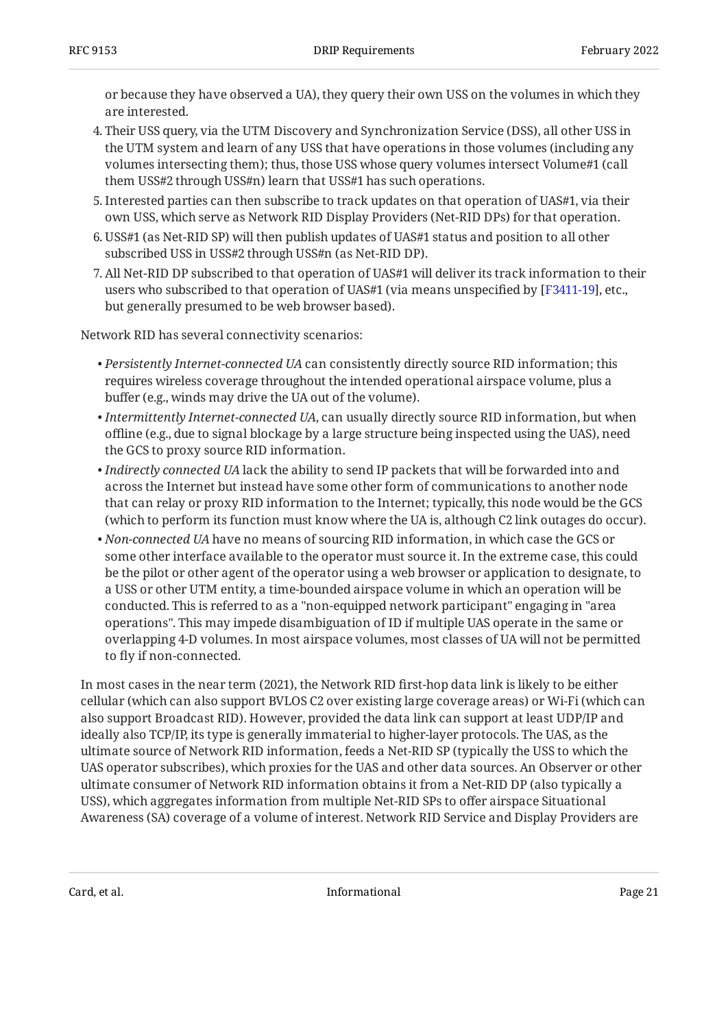or because they have observed a UA), they query their own USS on the volumes in which they are interested.

- Their USS query, via the UTM Discovery and Synchronization Service (DSS), all other USS in 4. the UTM system and learn of any USS that have operations in those volumes (including any volumes intersecting them); thus, those USS whose query volumes intersect Volume#1 (call them USS#2 through USS#n) learn that USS#1 has such operations.
- 5. Interested parties can then subscribe to track updates on that operation of UAS#1, via their own USS, which serve as Network RID Display Providers (Net-RID DPs) for that operation.
- 6. USS#1 (as Net-RID SP) will then publish updates of UAS#1 status and position to all other subscribed USS in USS#2 through USS#n (as Net-RID DP).
- All Net-RID DP subscribed to that operation of UAS#1 will deliver its track information to their 7. users who subscribed to that operation of UAS#1 (via means unspecified by [[F3411-19](#page-34-3)], etc., but generally presumed to be web browser based).

Network RID has several connectivity scenarios:

- *Persistently Internet-connected UA* can consistently directly source RID information; this requires wireless coverage throughout the intended operational airspace volume, plus a buffer (e.g., winds may drive the UA out of the volume).
- *Intermittently Internet-connected UA*, can usually directly source RID information, but when offline (e.g., due to signal blockage by a large structure being inspected using the UAS), need the GCS to proxy source RID information.
- *Indirectly connected UA* lack the ability to send IP packets that will be forwarded into and across the Internet but instead have some other form of communications to another node that can relay or proxy RID information to the Internet; typically, this node would be the GCS (which to perform its function must know where the UA is, although C2 link outages do occur).
- *Non-connected UA* have no means of sourcing RID information, in which case the GCS or some other interface available to the operator must source it. In the extreme case, this could be the pilot or other agent of the operator using a web browser or application to designate, to a USS or other UTM entity, a time-bounded airspace volume in which an operation will be conducted. This is referred to as a "non-equipped network participant" engaging in "area operations". This may impede disambiguation of ID if multiple UAS operate in the same or overlapping 4-D volumes. In most airspace volumes, most classes of UA will not be permitted to fly if non-connected.

In most cases in the near term (2021), the Network RID first-hop data link is likely to be either cellular (which can also support BVLOS C2 over existing large coverage areas) or Wi-Fi (which can also support Broadcast RID). However, provided the data link can support at least UDP/IP and ideally also TCP/IP, its type is generally immaterial to higher-layer protocols. The UAS, as the ultimate source of Network RID information, feeds a Net-RID SP (typically the USS to which the UAS operator subscribes), which proxies for the UAS and other data sources. An Observer or other ultimate consumer of Network RID information obtains it from a Net-RID DP (also typically a USS), which aggregates information from multiple Net-RID SPs to offer airspace Situational Awareness (SA) coverage of a volume of interest. Network RID Service and Display Providers are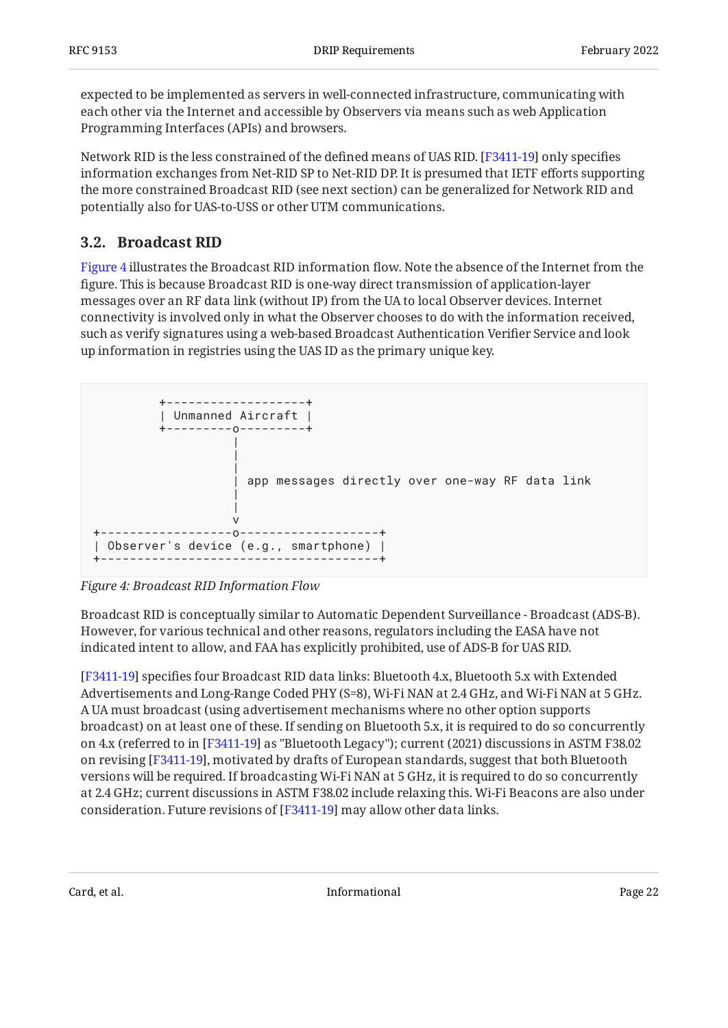expected to be implemented as servers in well-connected infrastructure, communicating with each other via the Internet and accessible by Observers via means such as web Application Programming Interfaces (APIs) and browsers.

Network RID is the less constrained of the defined means of UAS RID. [F3411-19] only specifies information exchanges from Net-RID SP to Net-RID DP. It is presumed that IETF efforts supporting the more constrained Broadcast RID (see next section) can be generalized for Network RID and potentially also for UAS-to-USS or other UTM communications.

### <span id="page-21-0"></span>**[3.2. Broadcast RID](#page-21-0)**

[Figure 4](#page-21-1) illustrates the Broadcast RID information flow. Note the absence of the Internet from the figure. This is because Broadcast RID is one-way direct transmission of application-layer messages over an RF data link (without IP) from the UA to local Observer devices. Internet connectivity is involved only in what the Observer chooses to do with the information received, such as verify signatures using a web-based Broadcast Authentication Verifier Service and look up information in registries using the UAS ID as the primary unique key.

<span id="page-21-1"></span>

*[Figure 4: Broadcast RID Information Flow](#page-21-1)* 

Broadcast RID is conceptually similar to Automatic Dependent Surveillance - Broadcast (ADS-B). However, for various technical and other reasons, regulators including the EASA have not indicated intent to allow, and FAA has explicitly prohibited, use of ADS-B for UAS RID.

[[F3411-19](#page-34-3)] specifies four Broadcast RID data links: Bluetooth 4.x, Bluetooth 5.x with Extended Advertisements and Long-Range Coded PHY (S=8), Wi-Fi NAN at 2.4 GHz, and Wi-Fi NAN at 5 GHz. A UA must broadcast (using advertisement mechanisms where no other option supports broadcast) on at least one of these. If sending on Bluetooth 5.x, it is required to do so concurrently on 4.x (referred to in [\[F3411-19](#page-34-3)] as "Bluetooth Legacy"); current (2021) discussions in ASTM F38.02 on revising [F3411-19], motivated by drafts of European standards, suggest that both Bluetooth versions will be required. If broadcasting Wi-Fi NAN at 5 GHz, it is required to do so concurrently at 2.4 GHz; current discussions in ASTM F38.02 include relaxing this. Wi-Fi Beacons are also under consideration. Future revisions of  $[F3411-19]$  may allow other data links.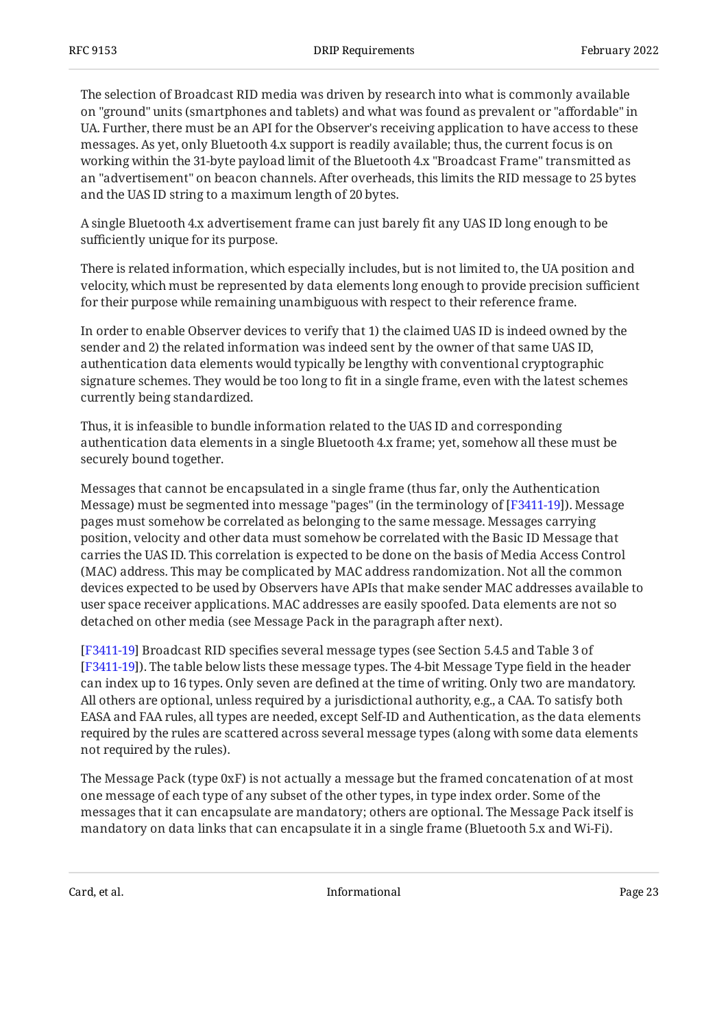The selection of Broadcast RID media was driven by research into what is commonly available on "ground" units (smartphones and tablets) and what was found as prevalent or "affordable" in UA. Further, there must be an API for the Observer's receiving application to have access to these messages. As yet, only Bluetooth 4.x support is readily available; thus, the current focus is on working within the 31-byte payload limit of the Bluetooth 4.x "Broadcast Frame" transmitted as an "advertisement" on beacon channels. After overheads, this limits the RID message to 25 bytes and the UAS ID string to a maximum length of 20 bytes.

A single Bluetooth 4.x advertisement frame can just barely fit any UAS ID long enough to be sufficiently unique for its purpose.

There is related information, which especially includes, but is not limited to, the UA position and velocity, which must be represented by data elements long enough to provide precision sufficient for their purpose while remaining unambiguous with respect to their reference frame.

In order to enable Observer devices to verify that 1) the claimed UAS ID is indeed owned by the sender and 2) the related information was indeed sent by the owner of that same UAS ID, authentication data elements would typically be lengthy with conventional cryptographic signature schemes. They would be too long to fit in a single frame, even with the latest schemes currently being standardized.

Thus, it is infeasible to bundle information related to the UAS ID and corresponding authentication data elements in a single Bluetooth 4.x frame; yet, somehow all these must be securely bound together.

Messages that cannot be encapsulated in a single frame (thus far, only the Authentication Message) must be segmented into message "pages" (in the terminology of [[F3411-19](#page-34-3)]). Message pages must somehow be correlated as belonging to the same message. Messages carrying position, velocity and other data must somehow be correlated with the Basic ID Message that carries the UAS ID. This correlation is expected to be done on the basis of Media Access Control (MAC) address. This may be complicated by MAC address randomization. Not all the common devices expected to be used by Observers have APIs that make sender MAC addresses available to user space receiver applications. MAC addresses are easily spoofed. Data elements are not so detached on other media (see Message Pack in the paragraph after next).

[[F3411-19](#page-34-3)] Broadcast RID specifies several message types (see Section 5.4.5 and Table 3 of ). The table below lists these message types. The 4-bit Message Type field in the header [[F3411-19](#page-34-3)] can index up to 16 types. Only seven are defined at the time of writing. Only two are mandatory. All others are optional, unless required by a jurisdictional authority, e.g., a CAA. To satisfy both EASA and FAA rules, all types are needed, except Self-ID and Authentication, as the data elements required by the rules are scattered across several message types (along with some data elements not required by the rules).

The Message Pack (type 0xF) is not actually a message but the framed concatenation of at most one message of each type of any subset of the other types, in type index order. Some of the messages that it can encapsulate are mandatory; others are optional. The Message Pack itself is mandatory on data links that can encapsulate it in a single frame (Bluetooth 5.x and Wi-Fi).

<span id="page-22-0"></span>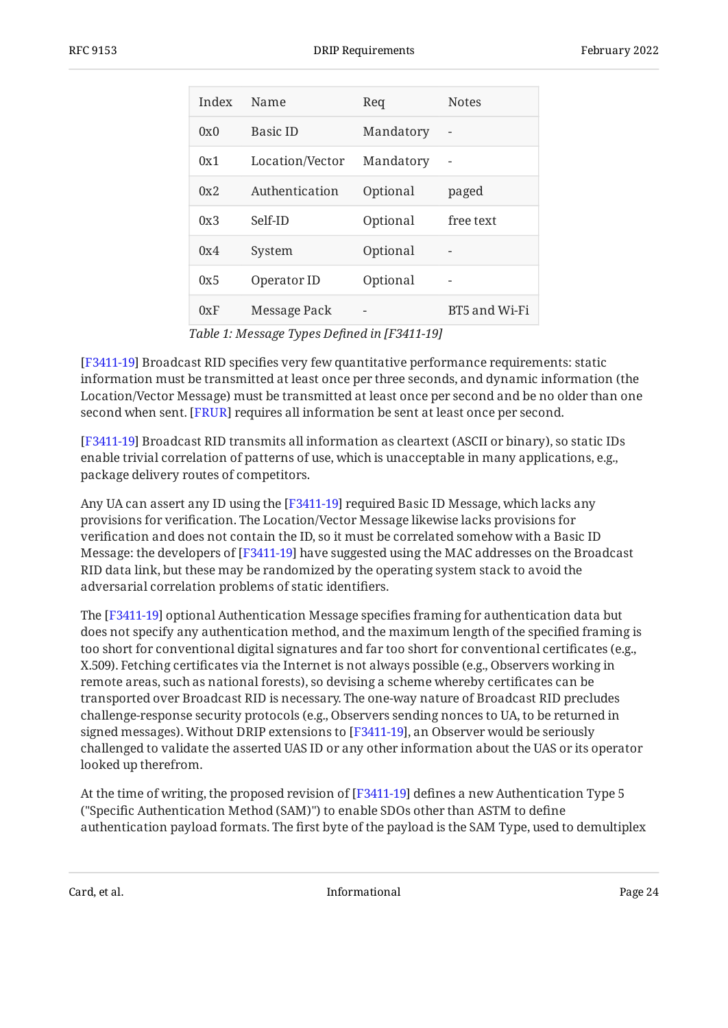<span id="page-23-0"></span>

| Index | Name            | Req       | <b>Notes</b>  |
|-------|-----------------|-----------|---------------|
| 0x0   | <b>Basic ID</b> | Mandatory |               |
| 0x1   | Location/Vector | Mandatory | -             |
| 0x2   | Authentication  | Optional  | paged         |
| 0x3   | Self-ID         | Optional  | free text     |
| 0x4   | System          | Optional  |               |
| 0x5   | Operator ID     | Optional  |               |
| 0xF   | Message Pack    |           | BT5 and Wi-Fi |

*[Table 1](#page-23-0): [Message Types De](#page-22-0)fined in [\[F3411-19\]](#page-22-0)* 

[[F3411-19](#page-34-3)] Broadcast RID specifies very few quantitative performance requirements: static information must be transmitted at least once per three seconds, and dynamic information (the Location/Vector Message) must be transmitted at least once per second and be no older than one second when sent. [[FRUR\]](#page-35-0) requires all information be sent at least once per second.

 Broadcast RID transmits all information as cleartext (ASCII or binary), so static IDs [[F3411-19](#page-34-3)] enable trivial correlation of patterns of use, which is unacceptable in many applications, e.g., package delivery routes of competitors.

Any UA can assert any ID using the [\[F3411-19](#page-34-3)] required Basic ID Message, which lacks any provisions for verification. The Location/Vector Message likewise lacks provisions for verification and does not contain the ID, so it must be correlated somehow with a Basic ID Message: the developers of [F3411-19] have suggested using the MAC addresses on the Broadcast RID data link, but these may be randomized by the operating system stack to avoid the adversarial correlation problems of static identifiers.

The [\[F3411-19](#page-34-3)] optional Authentication Message specifies framing for authentication data but does not specify any authentication method, and the maximum length of the specified framing is too short for conventional digital signatures and far too short for conventional certificates (e.g., X.509). Fetching certificates via the Internet is not always possible (e.g., Observers working in remote areas, such as national forests), so devising a scheme whereby certificates can be transported over Broadcast RID is necessary. The one-way nature of Broadcast RID precludes challenge-response security protocols (e.g., Observers sending nonces to UA, to be returned in signed messages). Without DRIP extensions to [F3411-19], an Observer would be seriously challenged to validate the asserted UAS ID or any other information about the UAS or its operator looked up therefrom.

At the time of writing, the proposed revision of [F3411-19] defines a new Authentication Type 5  $\,$ ("Specific Authentication Method (SAM)") to enable SDOs other than ASTM to define authentication payload formats. The first byte of the payload is the SAM Type, used to demultiplex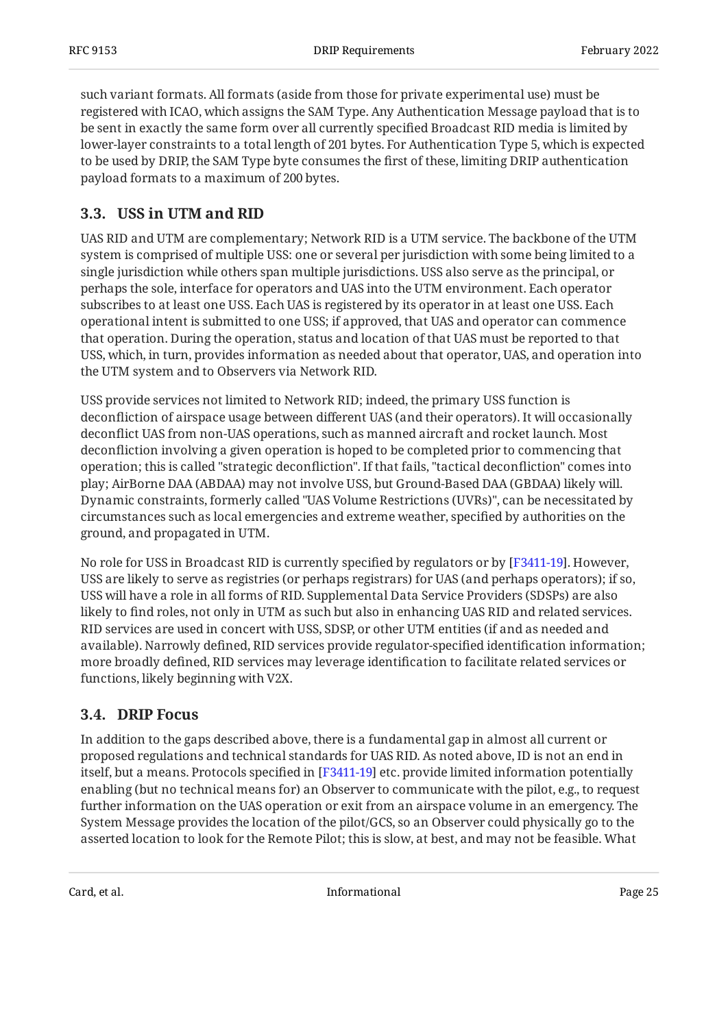such variant formats. All formats (aside from those for private experimental use) must be registered with ICAO, which assigns the SAM Type. Any Authentication Message payload that is to be sent in exactly the same form over all currently specified Broadcast RID media is limited by lower-layer constraints to a total length of 201 bytes. For Authentication Type 5, which is expected to be used by DRIP, the SAM Type byte consumes the first of these, limiting DRIP authentication payload formats to a maximum of 200 bytes.

### <span id="page-24-0"></span>**[3.3. USS in UTM and RID](#page-24-0)**

UAS RID and UTM are complementary; Network RID is a UTM service. The backbone of the UTM system is comprised of multiple USS: one or several per jurisdiction with some being limited to a single jurisdiction while others span multiple jurisdictions. USS also serve as the principal, or perhaps the sole, interface for operators and UAS into the UTM environment. Each operator subscribes to at least one USS. Each UAS is registered by its operator in at least one USS. Each operational intent is submitted to one USS; if approved, that UAS and operator can commence that operation. During the operation, status and location of that UAS must be reported to that USS, which, in turn, provides information as needed about that operator, UAS, and operation into the UTM system and to Observers via Network RID.

USS provide services not limited to Network RID; indeed, the primary USS function is deconfliction of airspace usage between different UAS (and their operators). It will occasionally deconflict UAS from non-UAS operations, such as manned aircraft and rocket launch. Most deconfliction involving a given operation is hoped to be completed prior to commencing that operation; this is called "strategic deconfliction". If that fails, "tactical deconfliction" comes into play; AirBorne DAA (ABDAA) may not involve USS, but Ground-Based DAA (GBDAA) likely will. Dynamic constraints, formerly called "UAS Volume Restrictions (UVRs)", can be necessitated by circumstances such as local emergencies and extreme weather, specified by authorities on the ground, and propagated in UTM.

No role for USS in Broadcast RID is currently specified by regulators or by [[F3411-19](#page-34-3)]. However, USS are likely to serve as registries (or perhaps registrars) for UAS (and perhaps operators); if so, USS will have a role in all forms of RID. Supplemental Data Service Providers (SDSPs) are also likely to find roles, not only in UTM as such but also in enhancing UAS RID and related services. RID services are used in concert with USS, SDSP, or other UTM entities (if and as needed and available). Narrowly defined, RID services provide regulator-specified identification information; more broadly defined, RID services may leverage identification to facilitate related services or functions, likely beginning with V2X.

### <span id="page-24-1"></span>**[3.4. DRIP Focus](#page-24-1)**

In addition to the gaps described above, there is a fundamental gap in almost all current or proposed regulations and technical standards for UAS RID. As noted above, ID is not an end in itself, but a means. Protocols specified in [F3411-19] etc. provide limited information potentially enabling (but no technical means for) an Observer to communicate with the pilot, e.g., to request further information on the UAS operation or exit from an airspace volume in an emergency. The System Message provides the location of the pilot/GCS, so an Observer could physically go to the asserted location to look for the Remote Pilot; this is slow, at best, and may not be feasible. What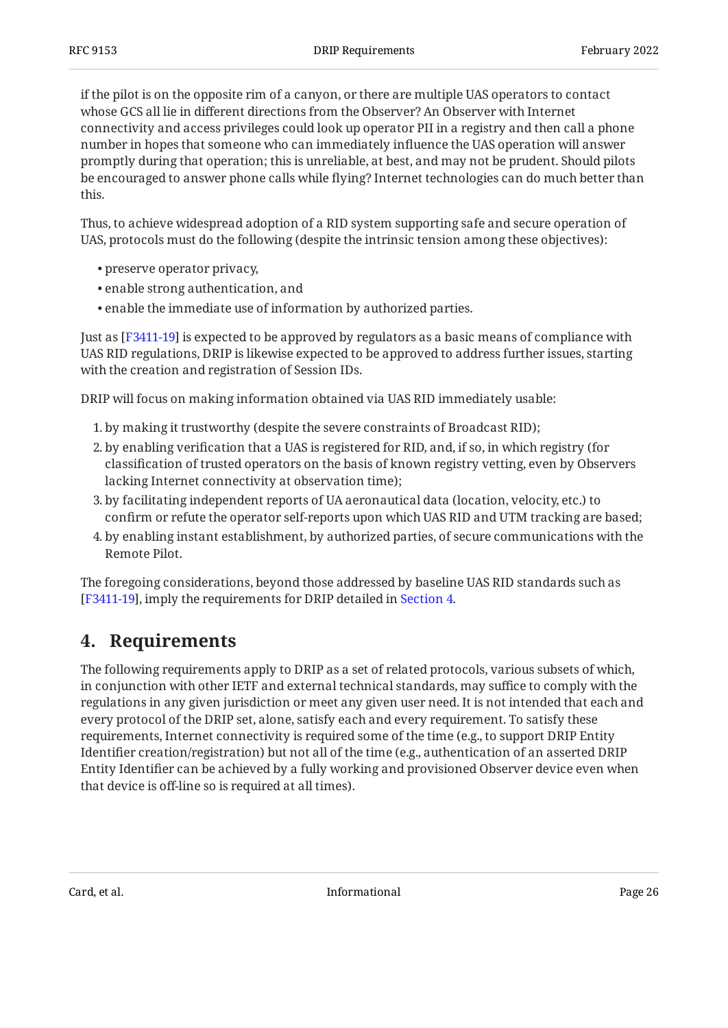if the pilot is on the opposite rim of a canyon, or there are multiple UAS operators to contact whose GCS all lie in different directions from the Observer? An Observer with Internet connectivity and access privileges could look up operator PII in a registry and then call a phone number in hopes that someone who can immediately influence the UAS operation will answer promptly during that operation; this is unreliable, at best, and may not be prudent. Should pilots be encouraged to answer phone calls while flying? Internet technologies can do much better than this.

Thus, to achieve widespread adoption of a RID system supporting safe and secure operation of UAS, protocols must do the following (despite the intrinsic tension among these objectives):

- preserve operator privacy, •
- enable strong authentication, and
- enable the immediate use of information by authorized parties. •

Just as [F3411-19] is expected to be approved by regulators as a basic means of compliance with UAS RID regulations, DRIP is likewise expected to be approved to address further issues, starting with the creation and registration of Session IDs.

DRIP will focus on making information obtained via UAS RID immediately usable:

- by making it trustworthy (despite the severe constraints of Broadcast RID); 1.
- 2. by enabling verification that a UAS is registered for RID, and, if so, in which registry (for classification of trusted operators on the basis of known registry vetting, even by Observers lacking Internet connectivity at observation time);
- 3. by facilitating independent reports of UA aeronautical data (location, velocity, etc.) to confirm or refute the operator self-reports upon which UAS RID and UTM tracking are based;
- 4. by enabling instant establishment, by authorized parties, of secure communications with the Remote Pilot.

<span id="page-25-0"></span>The foregoing considerations, beyond those addressed by baseline UAS RID standards such as [F3411-19], imply the requirements for DRIP detailed in [Section 4.](#page-25-0)

## **[4. Requirements](#page-25-0)**

The following requirements apply to DRIP as a set of related protocols, various subsets of which, in conjunction with other IETF and external technical standards, may suffice to comply with the regulations in any given jurisdiction or meet any given user need. It is not intended that each and every protocol of the DRIP set, alone, satisfy each and every requirement. To satisfy these requirements, Internet connectivity is required some of the time (e.g., to support DRIP Entity Identifier creation/registration) but not all of the time (e.g., authentication of an asserted DRIP Entity Identifier can be achieved by a fully working and provisioned Observer device even when that device is off-line so is required at all times).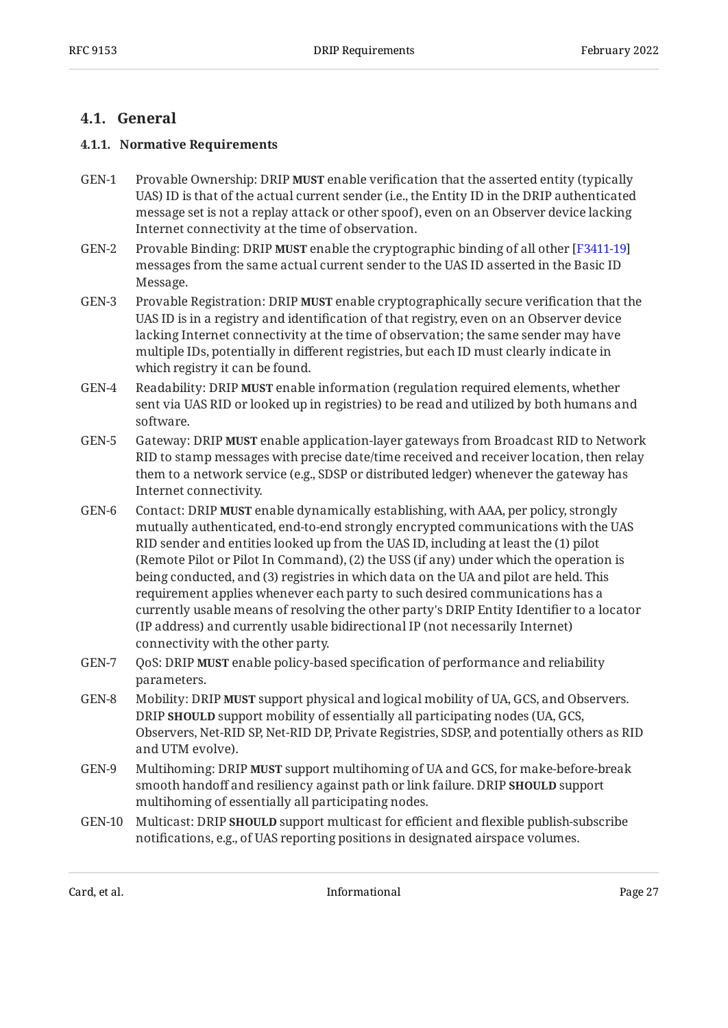### <span id="page-26-1"></span><span id="page-26-0"></span>**[4.1. General](#page-26-0)**

#### **[4.1.1. Normative Requirements](#page-26-1)**

- GEN-1 Provable Ownership: DRIP MUST enable verification that the asserted entity (typically UAS) ID is that of the actual current sender (i.e., the Entity ID in the DRIP authenticated message set is not a replay attack or other spoof), even on an Observer device lacking Internet connectivity at the time of observation.
- GEN-2 Provable Binding: DRIP MUST enable the cryptographic binding of all other [[F3411-19](#page-34-3)] messages from the same actual current sender to the UAS ID asserted in the Basic ID Message.
- GEN-3 Provable Registration: DRIP **MUST** enable cryptographically secure verification that the UAS ID is in a registry and identification of that registry, even on an Observer device lacking Internet connectivity at the time of observation; the same sender may have multiple IDs, potentially in different registries, but each ID must clearly indicate in which registry it can be found.
- GEN-4 Readability: DRIP **MUST** enable information (regulation required elements, whether sent via UAS RID or looked up in registries) to be read and utilized by both humans and software.
- GEN-5 Gateway: DRIP MUST enable application-layer gateways from Broadcast RID to Network RID to stamp messages with precise date/time received and receiver location, then relay them to a network service (e.g., SDSP or distributed ledger) whenever the gateway has Internet connectivity.
- GEN-6 Contact: DRIP **MUST** enable dynamically establishing, with AAA, per policy, strongly mutually authenticated, end-to-end strongly encrypted communications with the UAS RID sender and entities looked up from the UAS ID, including at least the (1) pilot (Remote Pilot or Pilot In Command), (2) the USS (if any) under which the operation is being conducted, and (3) registries in which data on the UA and pilot are held. This requirement applies whenever each party to such desired communications has a currently usable means of resolving the other party's DRIP Entity Identifier to a locator (IP address) and currently usable bidirectional IP (not necessarily Internet) connectivity with the other party.
- GEN-7 QoS: DRIP **MUST** enable policy-based specification of performance and reliability parameters.
- GEN-8 Mobility: DRIP **MUST** support physical and logical mobility of UA, GCS, and Observers. DRIP SHOULD support mobility of essentially all participating nodes (UA, GCS, Observers, Net-RID SP, Net-RID DP, Private Registries, SDSP, and potentially others as RID and UTM evolve).
- GEN-9 Multihoming: DRIP **MUST** support multihoming of UA and GCS, for make-before-break smooth handoff and resiliency against path or link failure. DRIP **SHOULD** support multihoming of essentially all participating nodes.
- GEN-10 Multicast: DRIP **SHOULD** support multicast for efficient and flexible publish-subscribe notifications, e.g., of UAS reporting positions in designated airspace volumes.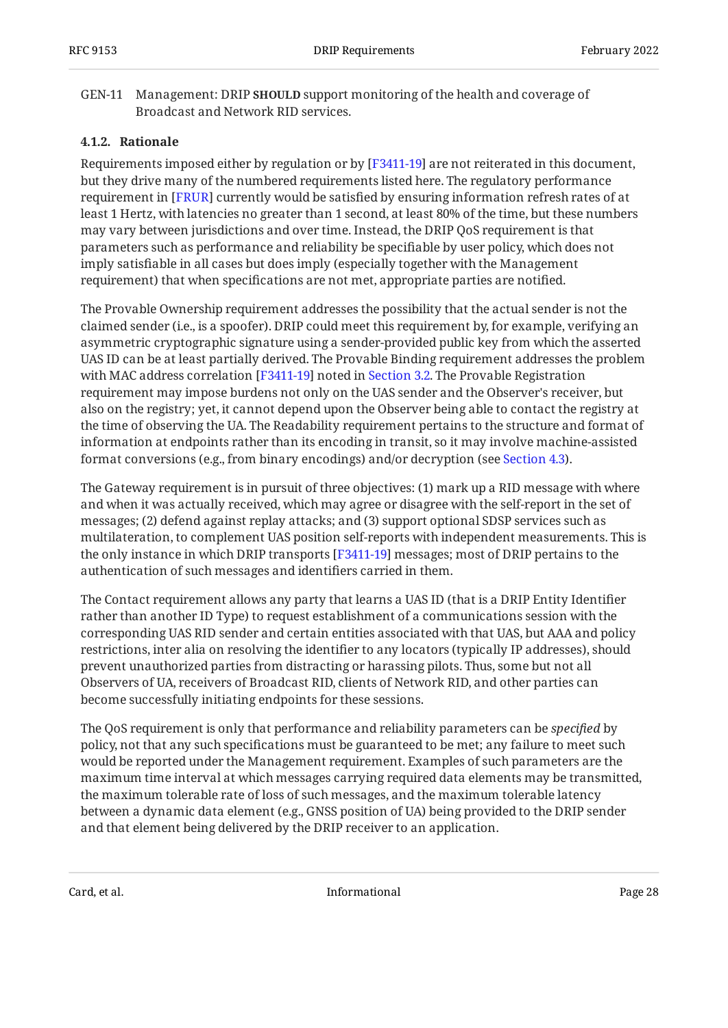#### GEN-11 Management: DRIP SHOULD support monitoring of the health and coverage of Broadcast and Network RID services.

#### <span id="page-27-0"></span>**[4.1.2. Rationale](#page-27-0)**

Requirements imposed either by regulation or by  $[{\rm F3411{\text{-}}19}]$  are not reiterated in this document, but they drive many of the numbered requirements listed here. The regulatory performance requirement in [FRUR] currently would be satisfied by ensuring information refresh rates of at least 1 Hertz, with latencies no greater than 1 second, at least 80% of the time, but these numbers may vary between jurisdictions and over time. Instead, the DRIP QoS requirement is that parameters such as performance and reliability be specifiable by user policy, which does not imply satisfiable in all cases but does imply (especially together with the Management requirement) that when specifications are not met, appropriate parties are notified.

The Provable Ownership requirement addresses the possibility that the actual sender is not the claimed sender (i.e., is a spoofer). DRIP could meet this requirement by, for example, verifying an asymmetric cryptographic signature using a sender-provided public key from which the asserted UAS ID can be at least partially derived. The Provable Binding requirement addresses the problem with MAC address correlation [F3411-19] noted in [Section 3.2](#page-21-0). The Provable Registration requirement may impose burdens not only on the UAS sender and the Observer's receiver, but also on the registry; yet, it cannot depend upon the Observer being able to contact the registry at the time of observing the UA. The Readability requirement pertains to the structure and format of information at endpoints rather than its encoding in transit, so it may involve machine-assisted format conversions (e.g., from binary encodings) and/or decryption (see [Section 4.3\)](#page-29-0).

The Gateway requirement is in pursuit of three objectives: (1) mark up a RID message with where and when it was actually received, which may agree or disagree with the self-report in the set of messages; (2) defend against replay attacks; and (3) support optional SDSP services such as multilateration, to complement UAS position self-reports with independent measurements. This is the only instance in which DRIP transports [F3411-19] messages; most of DRIP pertains to the authentication of such messages and identifiers carried in them.

The Contact requirement allows any party that learns a UAS ID (that is a DRIP Entity Identifier rather than another ID Type) to request establishment of a communications session with the corresponding UAS RID sender and certain entities associated with that UAS, but AAA and policy restrictions, inter alia on resolving the identifier to any locators (typically IP addresses), should prevent unauthorized parties from distracting or harassing pilots. Thus, some but not all Observers of UA, receivers of Broadcast RID, clients of Network RID, and other parties can become successfully initiating endpoints for these sessions.

The QoS requirement is only that performance and reliability parameters can be *specified* by policy, not that any such specifications must be guaranteed to be met; any failure to meet such would be reported under the Management requirement. Examples of such parameters are the maximum time interval at which messages carrying required data elements may be transmitted, the maximum tolerable rate of loss of such messages, and the maximum tolerable latency between a dynamic data element (e.g., GNSS position of UA) being provided to the DRIP sender and that element being delivered by the DRIP receiver to an application.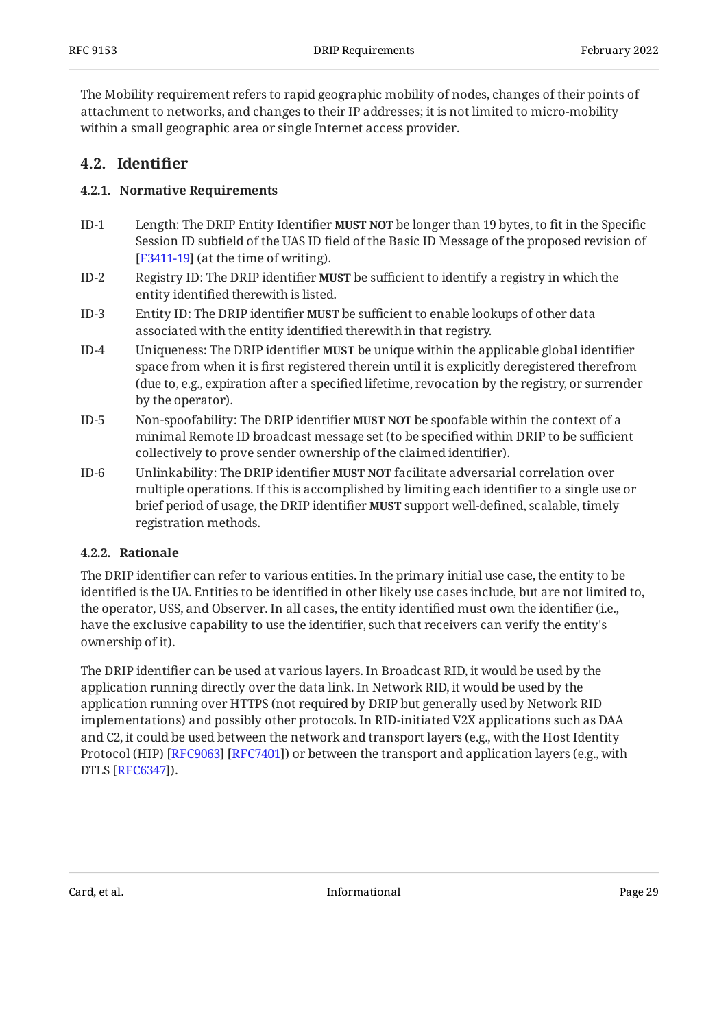The Mobility requirement refers to rapid geographic mobility of nodes, changes of their points of attachment to networks, and changes to their IP addresses; it is not limited to micro-mobility within a small geographic area or single Internet access provider.

### <span id="page-28-1"></span><span id="page-28-0"></span>**[4.2. Identi](#page-28-0)fier**

#### **[4.2.1. Normative Requirements](#page-28-1)**

- $ID-1$ Length: The DRIP Entity Identifier **MUST NOT** be longer than 19 bytes, to fit in the Specific Session ID subfield of the UAS ID field of the Basic ID Message of the proposed revision of  $[F3411-19]$  $[F3411-19]$  $[F3411-19]$  (at the time of writing).
- $ID-2$ Registry ID: The DRIP identifier **MUST** be sufficient to identify a registry in which the entity identified therewith is listed.
- ID-3 Entity ID: The DRIP identifier **MUST** be sufficient to enable lookups of other data associated with the entity identified therewith in that registry.
- ID-4 Uniqueness: The DRIP identifier **MUST** be unique within the applicable global identifier space from when it is first registered therein until it is explicitly deregistered therefrom (due to, e.g., expiration after a specified lifetime, revocation by the registry, or surrender by the operator).
- ID-5 Non-spoofability: The DRIP identifier **MUST NOT** be spoofable within the context of a minimal Remote ID broadcast message set (to be specified within DRIP to be sufficient collectively to prove sender ownership of the claimed identifier).
- ID-6 Unlinkability: The DRIP identifier **MUST NOT** facilitate adversarial correlation over multiple operations. If this is accomplished by limiting each identifier to a single use or brief period of usage, the DRIP identifier **MUST** support well-defined, scalable, timely registration methods.

#### <span id="page-28-2"></span>**[4.2.2. Rationale](#page-28-2)**

The DRIP identifier can refer to various entities. In the primary initial use case, the entity to be identified is the UA. Entities to be identified in other likely use cases include, but are not limited to, the operator, USS, and Observer. In all cases, the entity identified must own the identifier (i.e., have the exclusive capability to use the identifier, such that receivers can verify the entity's ownership of it).

The DRIP identifier can be used at various layers. In Broadcast RID, it would be used by the application running directly over the data link. In Network RID, it would be used by the application running over HTTPS (not required by DRIP but generally used by Network RID implementations) and possibly other protocols. In RID-initiated V2X applications such as DAA and C2, it could be used between the network and transport layers (e.g., with the Host Identity Protocol (HIP) [RFC9063] [RFC7401]) or between the transport and application layers (e.g., with DTLS [RFC6347]).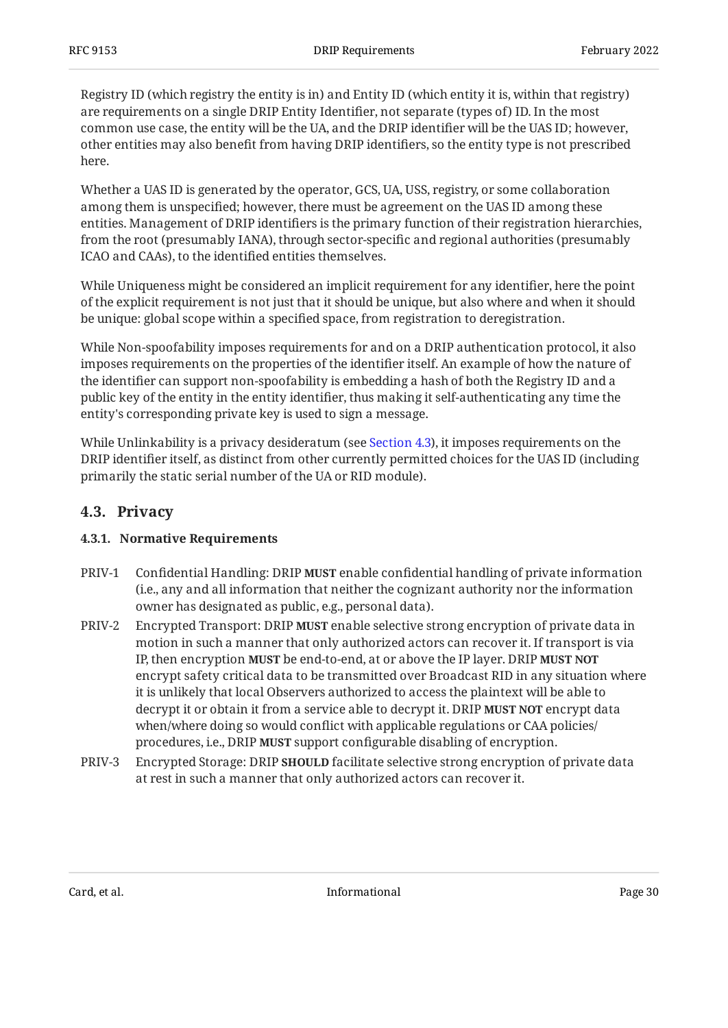Registry ID (which registry the entity is in) and Entity ID (which entity it is, within that registry) are requirements on a single DRIP Entity Identifier, not separate (types of) ID. In the most common use case, the entity will be the UA, and the DRIP identifier will be the UAS ID; however, other entities may also benefit from having DRIP identifiers, so the entity type is not prescribed here.

Whether a UAS ID is generated by the operator, GCS, UA, USS, registry, or some collaboration among them is unspecified; however, there must be agreement on the UAS ID among these entities. Management of DRIP identifiers is the primary function of their registration hierarchies, from the root (presumably IANA), through sector-specific and regional authorities (presumably ICAO and CAAs), to the identified entities themselves.

While Uniqueness might be considered an implicit requirement for any identifier, here the point of the explicit requirement is not just that it should be unique, but also where and when it should be unique: global scope within a specified space, from registration to deregistration.

While Non-spoofability imposes requirements for and on a DRIP authentication protocol, it also imposes requirements on the properties of the identifier itself. An example of how the nature of the identifier can support non-spoofability is embedding a hash of both the Registry ID and a public key of the entity in the entity identifier, thus making it self-authenticating any time the entity's corresponding private key is used to sign a message.

While Unlinkability is a privacy desideratum (see [Section 4.3](#page-29-0)), it imposes requirements on the DRIP identifier itself, as distinct from other currently permitted choices for the UAS ID (including primarily the static serial number of the UA or RID module).

#### <span id="page-29-1"></span><span id="page-29-0"></span>**[4.3. Privacy](#page-29-0)**

#### **[4.3.1. Normative Requirements](#page-29-1)**

- PRIV-1 Confidential Handling: DRIP **MUST** enable confidential handling of private information (i.e., any and all information that neither the cognizant authority nor the information owner has designated as public, e.g., personal data).
- PRIV-2 Encrypted Transport: DRIP **MUST** enable selective strong encryption of private data in motion in such a manner that only authorized actors can recover it. If transport is via IP, then encryption **MUST** be end-to-end, at or above the IP layer. DRIP **MUST NOT** encrypt safety critical data to be transmitted over Broadcast RID in any situation where it is unlikely that local Observers authorized to access the plaintext will be able to decrypt it or obtain it from a service able to decrypt it. DRIP **MUST NOT** encrypt data when/where doing so would conflict with applicable regulations or CAA policies/ procedures, i.e., DRIP **MUST** support configurable disabling of encryption.
- PRIV-3 Encrypted Storage: DRIP **SHOULD** facilitate selective strong encryption of private data at rest in such a manner that only authorized actors can recover it.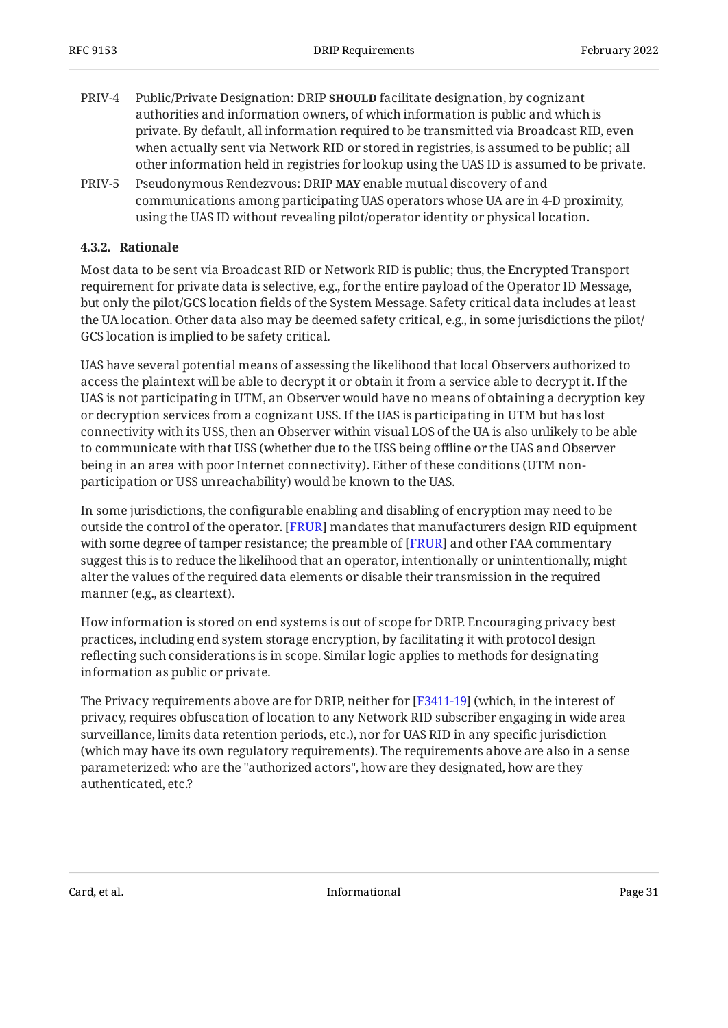- PRIV-4 Public/Private Designation: DRIP **SHOULD** facilitate designation, by cognizant authorities and information owners, of which information is public and which is private. By default, all information required to be transmitted via Broadcast RID, even when actually sent via Network RID or stored in registries, is assumed to be public; all other information held in registries for lookup using the UAS ID is assumed to be private.
- PRIV-5 Pseudonymous Rendezvous: DRIP **MAY** enable mutual discovery of and communications among participating UAS operators whose UA are in 4-D proximity, using the UAS ID without revealing pilot/operator identity or physical location.

#### <span id="page-30-0"></span>**[4.3.2. Rationale](#page-30-0)**

Most data to be sent via Broadcast RID or Network RID is public; thus, the Encrypted Transport requirement for private data is selective, e.g., for the entire payload of the Operator ID Message, but only the pilot/GCS location fields of the System Message. Safety critical data includes at least the UA location. Other data also may be deemed safety critical, e.g., in some jurisdictions the pilot/ GCS location is implied to be safety critical.

UAS have several potential means of assessing the likelihood that local Observers authorized to access the plaintext will be able to decrypt it or obtain it from a service able to decrypt it. If the UAS is not participating in UTM, an Observer would have no means of obtaining a decryption key or decryption services from a cognizant USS. If the UAS is participating in UTM but has lost connectivity with its USS, then an Observer within visual LOS of the UA is also unlikely to be able to communicate with that USS (whether due to the USS being offline or the UAS and Observer being in an area with poor Internet connectivity). Either of these conditions (UTM nonparticipation or USS unreachability) would be known to the UAS.

In some jurisdictions, the configurable enabling and disabling of encryption may need to be outside the control of the operator. [FRUR] mandates that manufacturers design RID equipment with some degree of tamper resistance; the preamble of [FRUR] and other FAA commentary suggest this is to reduce the likelihood that an operator, intentionally or unintentionally, might alter the values of the required data elements or disable their transmission in the required manner (e.g., as cleartext).

How information is stored on end systems is out of scope for DRIP. Encouraging privacy best practices, including end system storage encryption, by facilitating it with protocol design reflecting such considerations is in scope. Similar logic applies to methods for designating information as public or private.

The Privacy requirements above are for DRIP, neither for [F3411-19] (which, in the interest of privacy, requires obfuscation of location to any Network RID subscriber engaging in wide area surveillance, limits data retention periods, etc.), nor for UAS RID in any specific jurisdiction (which may have its own regulatory requirements). The requirements above are also in a sense parameterized: who are the "authorized actors", how are they designated, how are they authenticated, etc.?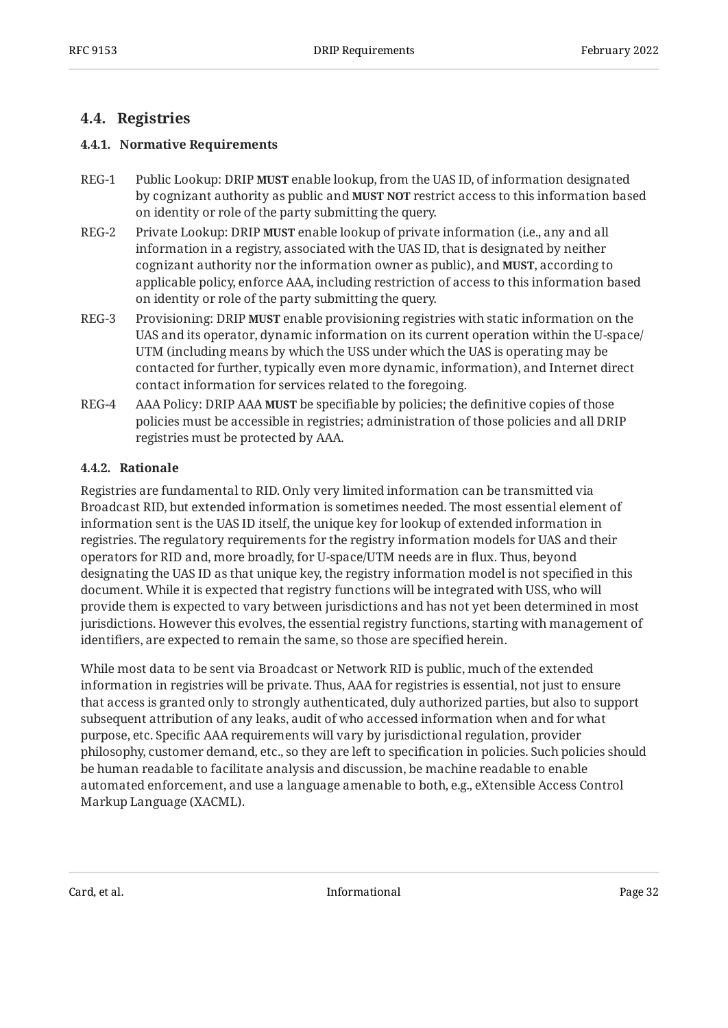### <span id="page-31-1"></span><span id="page-31-0"></span>**[4.4. Registries](#page-31-0)**

#### **[4.4.1. Normative Requirements](#page-31-1)**

- REG-1 Public Lookup: DRIP MUST enable lookup, from the UAS ID, of information designated by cognizant authority as public and **MUST NOT** restrict access to this information based on identity or role of the party submitting the query.
- REG-2 Private Lookup: DRIP **MUST** enable lookup of private information (i.e., any and all information in a registry, associated with the UAS ID, that is designated by neither cognizant authority nor the information owner as public), and **MUST**, according to applicable policy, enforce AAA, including restriction of access to this information based on identity or role of the party submitting the query.
- REG-3 Provisioning: DRIP **MUST** enable provisioning registries with static information on the UAS and its operator, dynamic information on its current operation within the U-space/ UTM (including means by which the USS under which the UAS is operating may be contacted for further, typically even more dynamic, information), and Internet direct contact information for services related to the foregoing.
- REG-4 AAA Policy: DRIP AAA **MUST** be specifiable by policies; the definitive copies of those policies must be accessible in registries; administration of those policies and all DRIP registries must be protected by AAA.

#### <span id="page-31-2"></span>**[4.4.2. Rationale](#page-31-2)**

Registries are fundamental to RID. Only very limited information can be transmitted via Broadcast RID, but extended information is sometimes needed. The most essential element of information sent is the UAS ID itself, the unique key for lookup of extended information in registries. The regulatory requirements for the registry information models for UAS and their operators for RID and, more broadly, for U-space/UTM needs are in flux. Thus, beyond designating the UAS ID as that unique key, the registry information model is not specified in this document. While it is expected that registry functions will be integrated with USS, who will provide them is expected to vary between jurisdictions and has not yet been determined in most jurisdictions. However this evolves, the essential registry functions, starting with management of identifiers, are expected to remain the same, so those are specified herein.

While most data to be sent via Broadcast or Network RID is public, much of the extended information in registries will be private. Thus, AAA for registries is essential, not just to ensure that access is granted only to strongly authenticated, duly authorized parties, but also to support subsequent attribution of any leaks, audit of who accessed information when and for what purpose, etc. Specific AAA requirements will vary by jurisdictional regulation, provider philosophy, customer demand, etc., so they are left to specification in policies. Such policies should be human readable to facilitate analysis and discussion, be machine readable to enable automated enforcement, and use a language amenable to both, e.g., eXtensible Access Control Markup Language (XACML).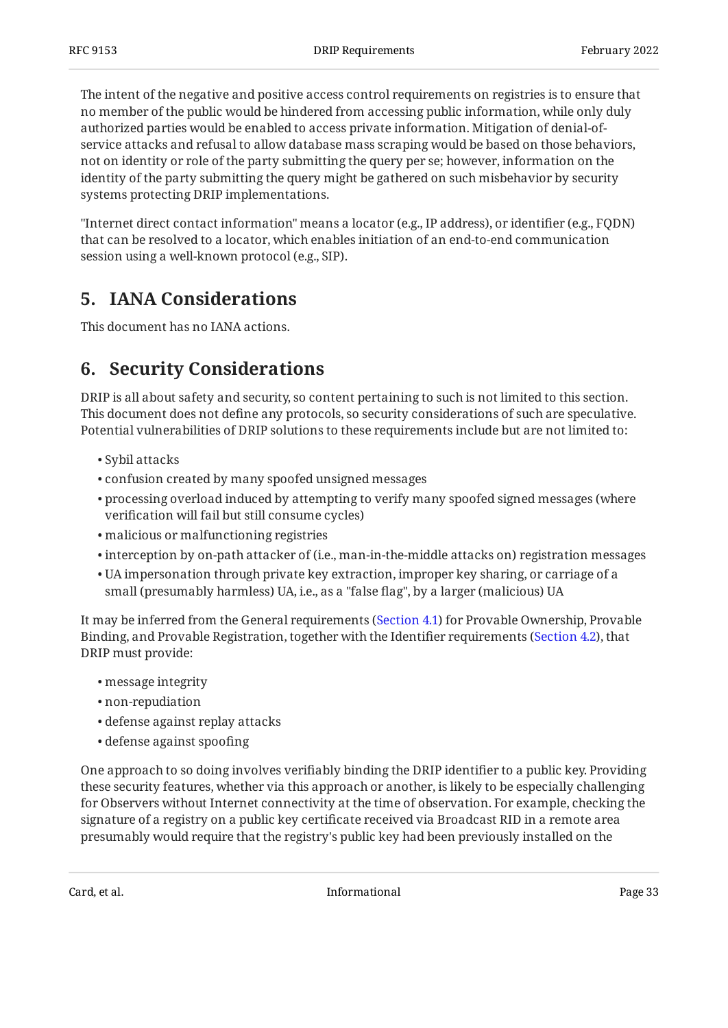The intent of the negative and positive access control requirements on registries is to ensure that no member of the public would be hindered from accessing public information, while only duly authorized parties would be enabled to access private information. Mitigation of denial-ofservice attacks and refusal to allow database mass scraping would be based on those behaviors, not on identity or role of the party submitting the query per se; however, information on the identity of the party submitting the query might be gathered on such misbehavior by security systems protecting DRIP implementations.

"Internet direct contact information" means a locator (e.g., IP address), or identifier (e.g., FQDN) that can be resolved to a locator, which enables initiation of an end-to-end communication session using a well-known protocol (e.g., SIP).

## <span id="page-32-0"></span>**[5. IANA Considerations](#page-32-0)**

<span id="page-32-1"></span>This document has no IANA actions.

## **[6. Security Considerations](#page-32-1)**

DRIP is all about safety and security, so content pertaining to such is not limited to this section. This document does not define any protocols, so security considerations of such are speculative. Potential vulnerabilities of DRIP solutions to these requirements include but are not limited to:

- Sybil attacks •
- confusion created by many spoofed unsigned messages •
- $\bullet$  processing overload induced by attempting to verify many spoofed signed messages (where verification will fail but still consume cycles)
- malicious or malfunctioning registries •
- $\bullet$  interception by on-path attacker of (i.e., man-in-the-middle attacks on) registration messages
- $\bullet$  UA impersonation through private key extraction, improper key sharing, or carriage of a small (presumably harmless) UA, i.e., as a "false flag", by a larger (malicious) UA

It may be inferred from the General requirements ([Section 4.1](#page-26-0)) for Provable Ownership, Provable Binding, and Provable Registration, together with the Identifier requirements ([Section 4.2](#page-28-0)), that DRIP must provide:

- message integrity •
- non-repudiation •
- defense against replay attacks •
- defense against spoofing •

One approach to so doing involves verifiably binding the DRIP identifier to a public key. Providing these security features, whether via this approach or another, is likely to be especially challenging for Observers without Internet connectivity at the time of observation. For example, checking the signature of a registry on a public key certificate received via Broadcast RID in a remote area presumably would require that the registry's public key had been previously installed on the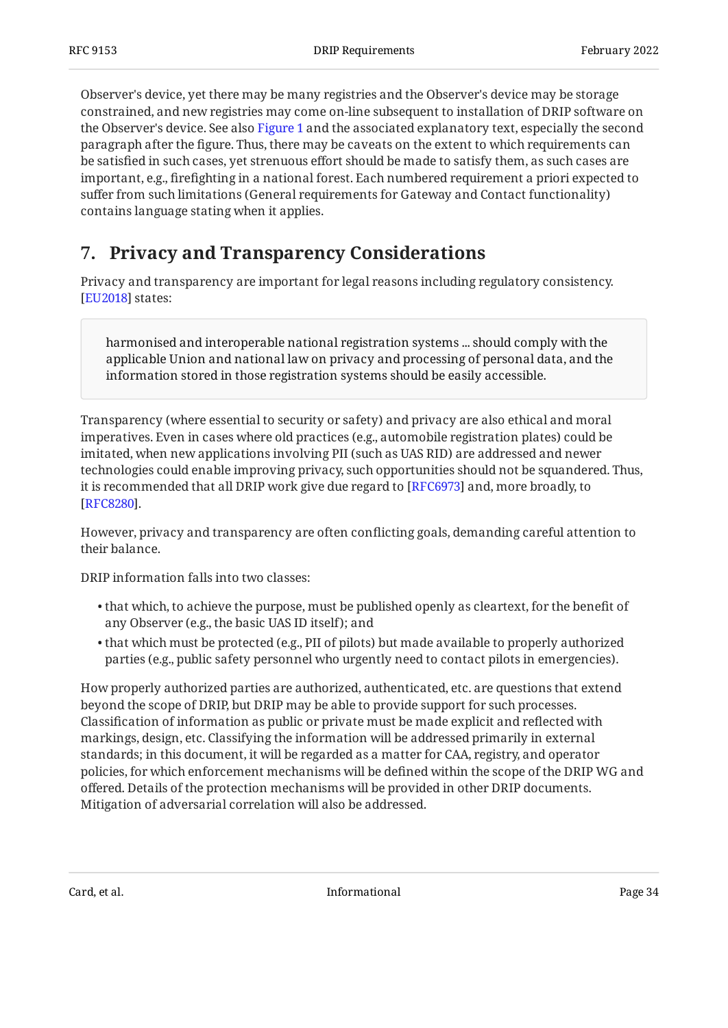Observer's device, yet there may be many registries and the Observer's device may be storage constrained, and new registries may come on-line subsequent to installation of DRIP software on the Observer's device. See also [Figure 1](#page-4-0) and the associated explanatory text, especially the second paragraph after the figure. Thus, there may be caveats on the extent to which requirements can be satisfied in such cases, yet strenuous effort should be made to satisfy them, as such cases are important, e.g., firefighting in a national forest. Each numbered requirement a priori expected to suffer from such limitations (General requirements for Gateway and Contact functionality) contains language stating when it applies.

## <span id="page-33-0"></span>**[7. Privacy and Transparency Considerations](#page-33-0)**

Privacy and transparency are important for legal reasons including regulatory consistency. [[EU2018](#page-35-9)] states:

harmonised and interoperable national registration systems ... should comply with the applicable Union and national law on privacy and processing of personal data, and the information stored in those registration systems should be easily accessible.

Transparency (where essential to security or safety) and privacy are also ethical and moral imperatives. Even in cases where old practices (e.g., automobile registration plates) could be imitated, when new applications involving PII (such as UAS RID) are addressed and newer technologies could enable improving privacy, such opportunities should not be squandered. Thus, it is recommended that all DRIP work give due regard to [[RFC6973\]](#page-37-7) and, more broadly, to . [[RFC8280\]](#page-37-8)

However, privacy and transparency are often conflicting goals, demanding careful attention to their balance.

DRIP information falls into two classes:

- $\bullet$  that which, to achieve the purpose, must be published openly as cleartext, for the benefit of any Observer (e.g., the basic UAS ID itself); and
- $\bullet$  that which must be protected (e.g., PII of pilots) but made available to properly authorized parties (e.g., public safety personnel who urgently need to contact pilots in emergencies).

How properly authorized parties are authorized, authenticated, etc. are questions that extend beyond the scope of DRIP, but DRIP may be able to provide support for such processes. Classification of information as public or private must be made explicit and reflected with markings, design, etc. Classifying the information will be addressed primarily in external standards; in this document, it will be regarded as a matter for CAA, registry, and operator policies, for which enforcement mechanisms will be defined within the scope of the DRIP WG and offered. Details of the protection mechanisms will be provided in other DRIP documents. Mitigation of adversarial correlation will also be addressed.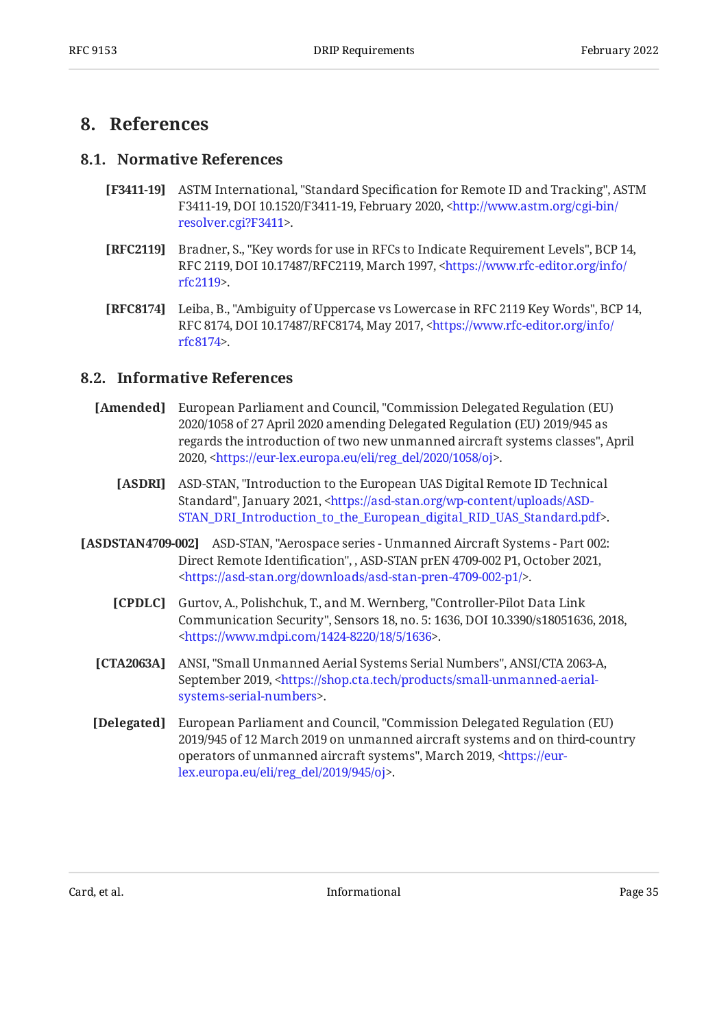### <span id="page-34-1"></span><span id="page-34-0"></span>**[8. References](#page-34-0)**

#### **[8.1. Normative References](#page-34-1)**

- <span id="page-34-3"></span>**[F3411-19]** ASTM International, "Standard Specification for Remote ID and Tracking", ASTM F3411-19, DOI 10.1520/F3411-19, February 2020, [<http://www.astm.org/cgi-bin/](http://www.astm.org/cgi-bin/resolver.cgi?F3411) . [resolver.cgi?F3411](http://www.astm.org/cgi-bin/resolver.cgi?F3411)>
- <span id="page-34-9"></span>**[RFC2119]** Bradner, S., "Key words for use in RFCs to Indicate Requirement Levels", BCP 14, RFC 2119, DOI 10.17487/RFC2119, March 1997, [<https://www.rfc-editor.org/info/](https://www.rfc-editor.org/info/rfc2119) . [rfc2119](https://www.rfc-editor.org/info/rfc2119)>
- <span id="page-34-10"></span>**[RFC8174]** Leiba, B., "Ambiguity of Uppercase vs Lowercase in RFC 2119 Key Words", BCP 14, RFC 8174, DOI 10.17487/RFC8174, May 2017, <[https://www.rfc-editor.org/info/](https://www.rfc-editor.org/info/rfc8174) . [rfc8174](https://www.rfc-editor.org/info/rfc8174)>

#### <span id="page-34-2"></span>**[8.2. Informative References](#page-34-2)**

- <span id="page-34-7"></span>**[Amended]** European Parliament and Council, "Commission Delegated Regulation (EU) regards the introduction of two new unmanned aircraft systems classes", April 2020, <https://eur-lex.europa.eu/eli/reg\_del/2020/1058/oj>. 2020/1058 of 27 April 2020 amending Delegated Regulation (EU) 2019/945 as
	- **[ASDRI]** ASD-STAN, "Introduction to the European UAS Digital Remote ID Technical Standard", January 2021, [<https://asd-stan.org/wp-content/uploads/ASD-](https://asd-stan.org/wp-content/uploads/ASD-STAN_DRI_Introduction_to_the_European_digital_RID_UAS_Standard.pdf). [STAN\\_DRI\\_Introduction\\_to\\_the\\_European\\_digital\\_RID\\_UAS\\_Standard.pdf>](https://asd-stan.org/wp-content/uploads/ASD-STAN_DRI_Introduction_to_the_European_digital_RID_UAS_Standard.pdf)
- <span id="page-34-11"></span><span id="page-34-8"></span><span id="page-34-5"></span><span id="page-34-4"></span>**[ASDSTAN4709-002]** ASD-STAN, "Aerospace series - Unmanned Aircraft Systems - Part 002: Direct Remote Identification", , ASD-STAN prEN 4709-002 P1, October 2021, . [<https://asd-stan.org/downloads/asd-stan-pren-4709-002-p1/](https://asd-stan.org/downloads/asd-stan-pren-4709-002-p1/)>
	- **[CPDLC]** Gurtov, A., Polishchuk, T., and M. Wernberg, "Controller-Pilot Data Link Communication Security", Sensors 18, no. 5: 1636, DOI 10.3390/s18051636, 2018, . [<https://www.mdpi.com/1424-8220/18/5/1636>](https://www.mdpi.com/1424-8220/18/5/1636)
	- **[CTA2063A]** ANSI, "Small Unmanned Aerial Systems Serial Numbers", ANSI/CTA 2063-A, September 2019, [<https://shop.cta.tech/products/small-unmanned-aerial-](https://shop.cta.tech/products/small-unmanned-aerial-systems-serial-numbers). [systems-serial-numbers](https://shop.cta.tech/products/small-unmanned-aerial-systems-serial-numbers)>
	- **[Delegated]** , European Parliament and Council "Commission Delegated Regulation (EU) operators of unmanned aircraft systems", March 2019, [<https://eur-](https://eur-lex.europa.eu/eli/reg_del/2019/945/oj). [lex.europa.eu/eli/reg\\_del/2019/945/oj](https://eur-lex.europa.eu/eli/reg_del/2019/945/oj)> 2019/945 of 12 March 2019 on unmanned aircraft systems and on third-country

<span id="page-34-6"></span>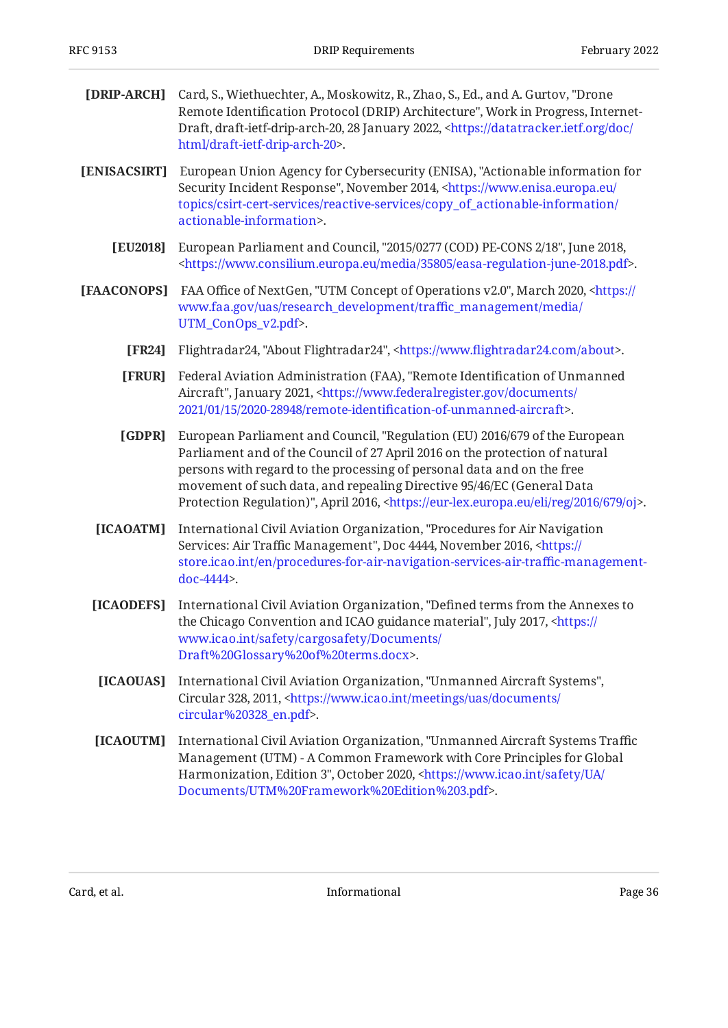<span id="page-35-10"></span><span id="page-35-9"></span><span id="page-35-7"></span><span id="page-35-5"></span><span id="page-35-2"></span><span id="page-35-1"></span><span id="page-35-0"></span>

| [DRIP-ARCH]  | Card, S., Wiethuechter, A., Moskowitz, R., Zhao, S., Ed., and A. Gurtov, "Drone"<br>Remote Identification Protocol (DRIP) Architecture", Work in Progress, Internet-<br>Draft, draft-ietf-drip-arch-20, 28 January 2022, <https: <br="" datatracker.ietf.org="" doc="">html/draft-ietf-drip-arch-20&gt;.</https:>                                                                                                               |
|--------------|---------------------------------------------------------------------------------------------------------------------------------------------------------------------------------------------------------------------------------------------------------------------------------------------------------------------------------------------------------------------------------------------------------------------------------|
| [ENISACSIRT] | European Union Agency for Cybersecurity (ENISA), "Actionable information for<br>Security Incident Response", November 2014, <https: <br="" www.enisa.europa.eu="">topics/csirt-cert-services/reactive-services/copy_of_actionable-information/<br/>actionable-information&gt;.</https:>                                                                                                                                         |
| [EU2018]     | European Parliament and Council, "2015/0277 (COD) PE-CONS 2/18", June 2018,<br><https: 35805="" easa-regulation-june-2018.pdf="" media="" www.consilium.europa.eu="">.</https:>                                                                                                                                                                                                                                                 |
| [FAACONOPS]  | FAA Office of NextGen, "UTM Concept of Operations v2.0", March 2020, <https: <br="">www.faa.gov/uas/research_development/traffic_management/media/<br/>UTM_ConOps_v2.pdf&gt;.</https:>                                                                                                                                                                                                                                          |
| [FR24]       | Flightradar24, "About Flightradar24", <https: about="" www.flightradar24.com="">.</https:>                                                                                                                                                                                                                                                                                                                                      |
| [FRUR]       | Federal Aviation Administration (FAA), "Remote Identification of Unmanned<br>Aircraft", January 2021, <https: <br="" documents="" www.federalregister.gov="">2021/01/15/2020-28948/remote-identification-of-unmanned-aircraft&gt;.</https:>                                                                                                                                                                                     |
| [GDPR]       | European Parliament and Council, "Regulation (EU) 2016/679 of the European<br>Parliament and of the Council of 27 April 2016 on the protection of natural<br>persons with regard to the processing of personal data and on the free<br>movement of such data, and repealing Directive 95/46/EC (General Data<br>Protection Regulation)", April 2016, <https: 2016="" 679="" eli="" eur-lex.europa.eu="" oj="" reg="">.</https:> |
| [ICAOATM]    | International Civil Aviation Organization, "Procedures for Air Navigation<br>Services: Air Traffic Management", Doc 4444, November 2016, <https: <br="">store.icao.int/en/procedures-for-air-navigation-services-air-traffic-management-<br/>doc-4444&gt;.</https:>                                                                                                                                                             |
| [ICAODEFS]   | International Civil Aviation Organization, "Defined terms from the Annexes to<br>the Chicago Convention and ICAO guidance material", July 2017, <https: <br="">www.icao.int/safety/cargosafety/Documents/<br/>Draft%20Glossary%20of%20terms.docx&gt;.</https:>                                                                                                                                                                  |
| [ICAOUAS]    | International Civil Aviation Organization, "Unmanned Aircraft Systems",<br>Circular 328, 2011, <https: <br="" documents="" meetings="" uas="" www.icao.int="">circular%20328_en.pdf&gt;.</https:>                                                                                                                                                                                                                               |
| [ICAOUTM]    | International Civil Aviation Organization, "Unmanned Aircraft Systems Traffic<br>Management (UTM) - A Common Framework with Core Principles for Global<br>Harmonization, Edition 3", October 2020, <https: <br="" safety="" ua="" www.icao.int="">Documents/UTM%20Framework%20Edition%203.pdf&gt;.</https:>                                                                                                                     |

<span id="page-35-8"></span><span id="page-35-6"></span><span id="page-35-4"></span><span id="page-35-3"></span>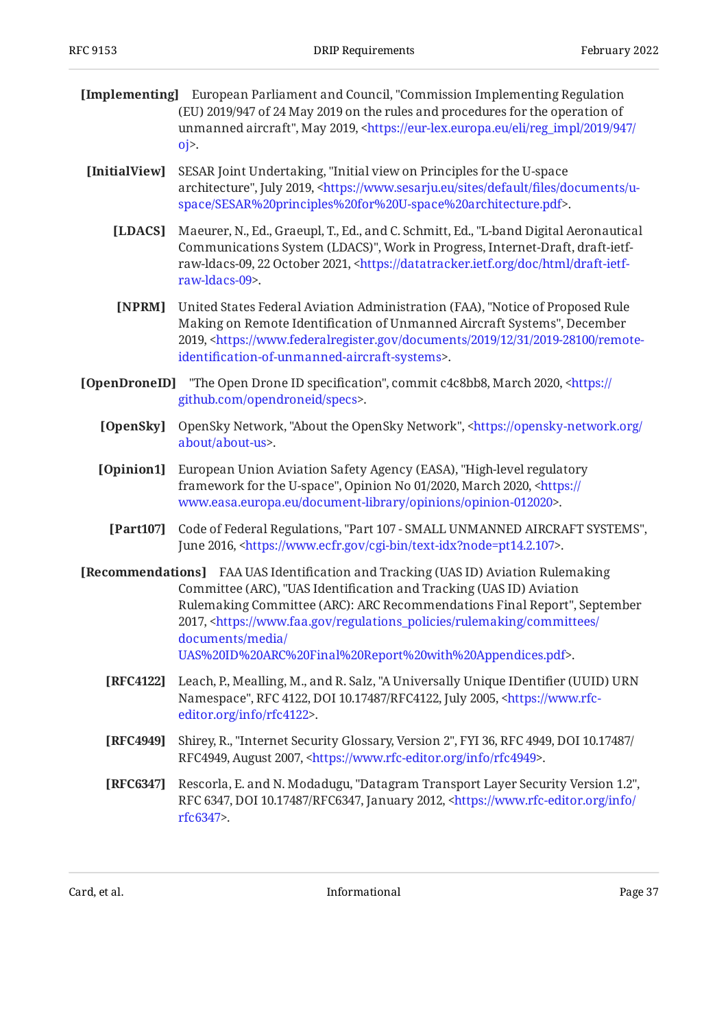<span id="page-36-7"></span>

|                                                                                                                   | <b>[Implementing]</b> European Parliament and Council, "Commission Implementing Regulation |
|-------------------------------------------------------------------------------------------------------------------|--------------------------------------------------------------------------------------------|
|                                                                                                                   | (EU) 2019/947 of 24 May 2019 on the rules and procedures for the operation of              |
| unmanned aircraft", May 2019, <https: 2019="" 947="" <="" eli="" eur-lex.europa.eu="" reg_impl="" th=""></https:> |                                                                                            |
|                                                                                                                   | $0i$ .                                                                                     |

- <span id="page-36-11"></span><span id="page-36-3"></span>[InitialView] SESAR Joint Undertaking, "Initial view on Principles for the U-space architecture", July 2019, [<https://www.sesarju.eu/sites/default/](https://www.sesarju.eu/sites/default/files/documents/u-space/SESAR%20principles%20for%20U-space%20architecture.pdf)files/documents/u-. [space/SESAR%20principles%20for%20U-space%20architecture.pdf>](https://www.sesarju.eu/sites/default/files/documents/u-space/SESAR%20principles%20for%20U-space%20architecture.pdf)
	- **[LDACS]** Maeurer, N., Ed., Graeupl, T., Ed., and C. Schmitt, Ed., "L-band Digital Aeronautical Communications System (LDACS)", Work in Progress, Internet-Draft, draft-ietf-raw-ldacs-09, 22 October 2021, [<https://datatracker.ietf.org/doc/html/draft-ietf-](https://datatracker.ietf.org/doc/html/draft-ietf-raw-ldacs-09). [raw-ldacs-09>](https://datatracker.ietf.org/doc/html/draft-ietf-raw-ldacs-09)
	- **[NPRM]** United States Federal Aviation Administration (FAA), "Notice of Proposed Rule Making on Remote Identification of Unmanned Aircraft Systems", December 2019, <[https://www.federalregister.gov/documents/2019/12/31/2019-28100/remote-](https://www.federalregister.gov/documents/2019/12/31/2019-28100/remote-identification-of-unmanned-aircraft-systems). identifi[cation-of-unmanned-aircraft-systems](https://www.federalregister.gov/documents/2019/12/31/2019-28100/remote-identification-of-unmanned-aircraft-systems)>
- <span id="page-36-10"></span><span id="page-36-6"></span><span id="page-36-2"></span><span id="page-36-1"></span>**[OpenDroneID]** "The Open Drone ID specification", commit c4c8bb8, March 2020, [<https://](https://github.com/opendroneid/specs) . [github.com/opendroneid/specs](https://github.com/opendroneid/specs)>
	- **[OpenSky]** OpenSky Network, "About the OpenSky Network", [<https://opensky-network.org/](https://opensky-network.org/about/about-us) . [about/about-us>](https://opensky-network.org/about/about-us)
	- **[Opinion1]** European Union Aviation Safety Agency (EASA), "High-level regulatory framework for the U-space", Opinion No 01/2020, March 2020, [<https://](https://www.easa.europa.eu/document-library/opinions/opinion-012020) . [www.easa.europa.eu/document-library/opinions/opinion-012020>](https://www.easa.europa.eu/document-library/opinions/opinion-012020)
		- [Part107] Code of Federal Regulations, "Part 107 SMALL UNMANNED AIRCRAFT SYSTEMS", June 2016, <https://www.ecfr.gov/cgi-bin/text-idx?node=pt14.2.107>.
- <span id="page-36-8"></span><span id="page-36-4"></span><span id="page-36-0"></span>**[Recommendations]** FAA UAS Identification and Tracking (UAS ID) Aviation Rulemaking , Committee (ARC) "UAS Identification and Tracking (UAS ID) Aviation Rulemaking Committee (ARC): ARC Recommendations Final Report", September 2017, <[https://www.faa.gov/regulations\\_policies/rulemaking/committees/](https://www.faa.gov/regulations_policies/rulemaking/committees/documents/media/UAS%20ID%20ARC%20Final%20Report%20with%20Appendices.pdf) . [UAS%20ID%20ARC%20Final%20Report%20with%20Appendices.pdf](https://www.faa.gov/regulations_policies/rulemaking/committees/documents/media/UAS%20ID%20ARC%20Final%20Report%20with%20Appendices.pdf)> [documents/media/](https://www.faa.gov/regulations_policies/rulemaking/committees/documents/media/UAS%20ID%20ARC%20Final%20Report%20with%20Appendices.pdf)
	- **[RFC4122]** Leach, P., Mealling, M., and R. Salz, "A Universally Unique IDentifier (UUID) URN Namespace", RFC 4122, DOI 10.17487/RFC4122, July 2005, [<https://www.rfc-](https://www.rfc-editor.org/info/rfc4122). [editor.org/info/rfc4122](https://www.rfc-editor.org/info/rfc4122)>
	- **[RFC4949]** Shirey, R., "Internet Security Glossary, Version 2", FYI 36, RFC 4949, DOI 10.17487/ RFC4949, August 2007, <https://www.rfc-editor.org/info/rfc4949>.
	- **[RFC6347]** Rescorla, E. and N. Modadugu, "Datagram Transport Layer Security Version 1.2", RFC 6347, DOI 10.17487/RFC6347, January 2012, [<https://www.rfc-editor.org/info/](https://www.rfc-editor.org/info/rfc6347) . [rfc6347](https://www.rfc-editor.org/info/rfc6347)>

<span id="page-36-9"></span><span id="page-36-5"></span>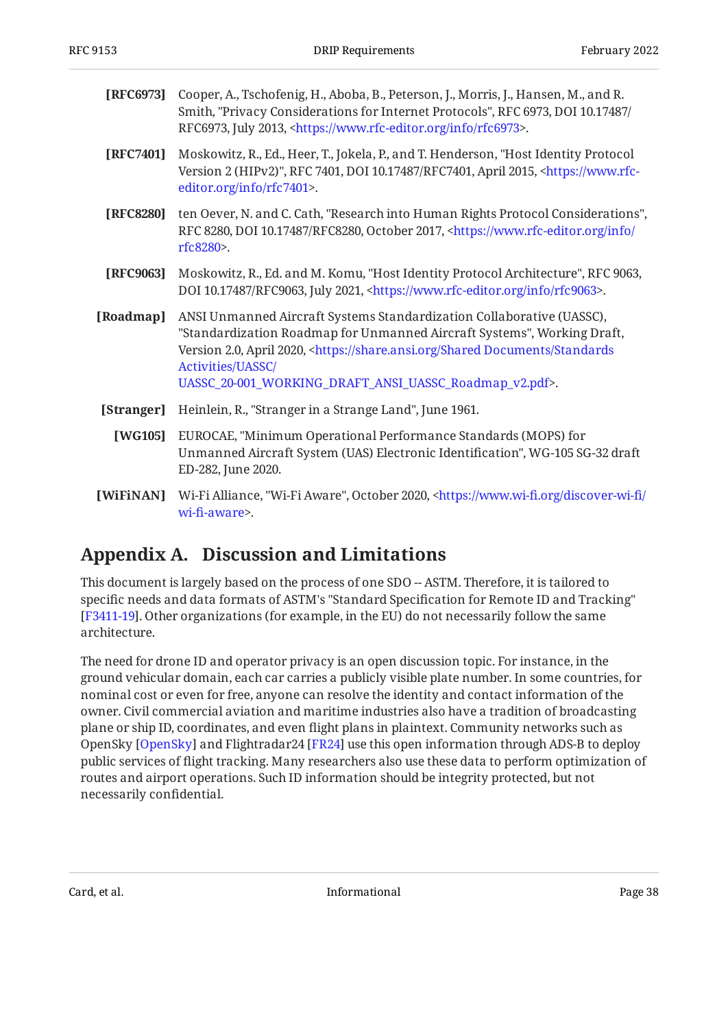<span id="page-37-7"></span>

| <b>[RFC6973]</b> Cooper, A., Tschofenig, H., Aboba, B., Peterson, J., Morris, J., Hansen, M., and R. |
|------------------------------------------------------------------------------------------------------|
| Smith, "Privacy Considerations for Internet Protocols", RFC 6973, DOI 10.17487/                      |
| RFC6973, July 2013, <https: info="" rfc6973="" www.rfc-editor.org="">.</https:>                      |

- <span id="page-37-6"></span>**[RFC7401]** Moskowitz, R., Ed., Heer, T., Jokela, P., and T. Henderson, "Host Identity Protocol Version 2 (HIPv2)", RFC 7401, DOI 10.17487/RFC7401, April 2015, <[https://www.rfc-](https://www.rfc-editor.org/info/rfc7401). [editor.org/info/rfc7401](https://www.rfc-editor.org/info/rfc7401)>
- <span id="page-37-8"></span>**[RFC8280]** ten Oever, N. and C. Cath, "Research into Human Rights Protocol Considerations", RFC 8280, DOI 10.17487/RFC8280, October 2017, [<https://www.rfc-editor.org/info/](https://www.rfc-editor.org/info/rfc8280) . [rfc8280](https://www.rfc-editor.org/info/rfc8280)>
- <span id="page-37-5"></span>**[RFC9063]** Moskowitz, R., Ed. and M. Komu, "Host Identity Protocol Architecture", RFC 9063, DOI 10.17487/RFC9063, July 2021, <https://www.rfc-editor.org/info/rfc9063>.
- <span id="page-37-4"></span>**[Roadmap]** , ANSI Unmanned Aircraft Systems Standardization Collaborative (UASSC) "Standardization Roadmap for Unmanned Aircraft Systems", Working Draft, Version 2.0, April 2020, <[https://share.ansi.org/Shared Documents/Standards](https://share.ansi.org/Shared%20Documents/Standards%20Activities/UASSC/UASSC_20-001_WORKING_DRAFT_ANSI_UASSC_Roadmap_v2.pdf) . [UASSC\\_20-001\\_WORKING\\_DRAFT\\_ANSI\\_UASSC\\_Roadmap\\_v2.pdf>](https://share.ansi.org/Shared%20Documents/Standards%20Activities/UASSC/UASSC_20-001_WORKING_DRAFT_ANSI_UASSC_Roadmap_v2.pdf) [Activities/UASSC/](https://share.ansi.org/Shared%20Documents/Standards%20Activities/UASSC/UASSC_20-001_WORKING_DRAFT_ANSI_UASSC_Roadmap_v2.pdf)
- <span id="page-37-3"></span>**[Stranger]** Heinlein, R., "Stranger in a Strange Land", June 1961.
- <span id="page-37-1"></span>**[WG105]** EUROCAE, "Minimum Operational Performance Standards (MOPS) for Unmanned Aircraft System (UAS) Electronic Identification", WG-105 SG-32 draft ED-282, June 2020.
- <span id="page-37-2"></span>**[WiFiNAN]** Wi-Fi Alliance, "Wi-Fi Aware", October 2020, <https://www.wi-fi[.org/discover-wi-](https://www.wi-fi.org/discover-wi-fi/wi-fi-aware)fi/ . wi-fi[-aware>](https://www.wi-fi.org/discover-wi-fi/wi-fi-aware)

## <span id="page-37-0"></span>**[Appendix A. Discussion and Limitations](#page-37-0)**

This document is largely based on the process of one SDO -- ASTM. Therefore, it is tailored to specific needs and data formats of ASTM's "Standard Specification for Remote ID and Tracking" [[F3411-19](#page-34-3)]. Other organizations (for example, in the EU) do not necessarily follow the same architecture.

The need for drone ID and operator privacy is an open discussion topic. For instance, in the ground vehicular domain, each car carries a publicly visible plate number. In some countries, for nominal cost or even for free, anyone can resolve the identity and contact information of the owner. Civil commercial aviation and maritime industries also have a tradition of broadcasting plane or ship ID, coordinates, and even flight plans in plaintext. Community networks such as OpenSky [[OpenSky\]](#page-36-10) and Flightradar24 [[FR24](#page-35-10)] use this open information through ADS-B to deploy public services of flight tracking. Many researchers also use these data to perform optimization of routes and airport operations. Such ID information should be integrity protected, but not necessarily confidential.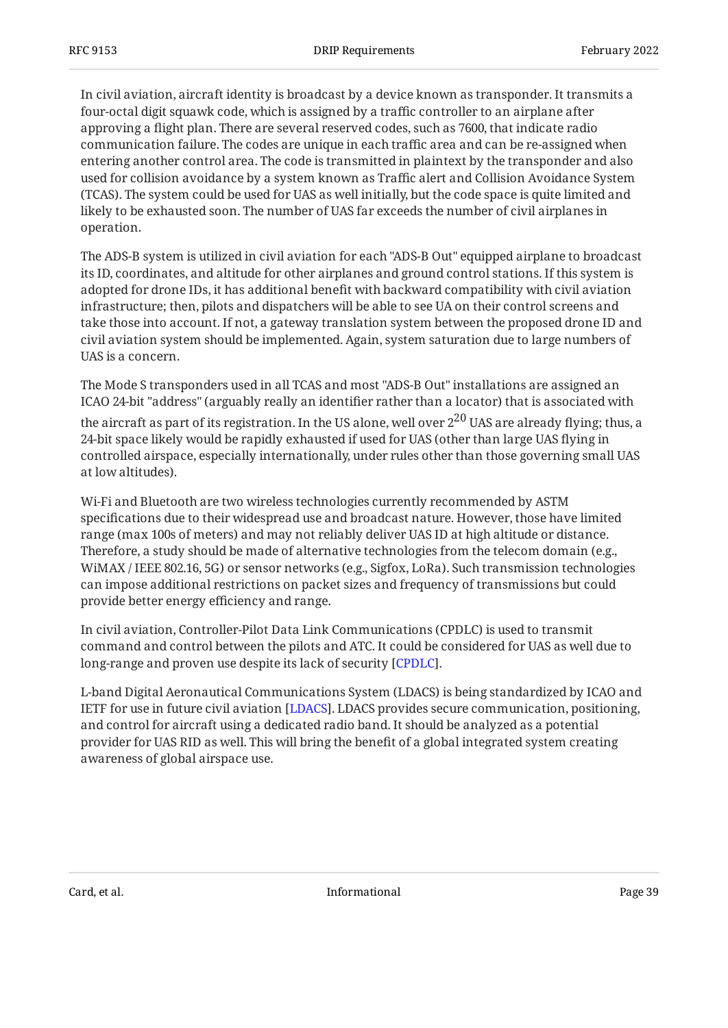In civil aviation, aircraft identity is broadcast by a device known as transponder. It transmits a four-octal digit squawk code, which is assigned by a traffic controller to an airplane after approving a flight plan. There are several reserved codes, such as 7600, that indicate radio communication failure. The codes are unique in each traffic area and can be re-assigned when entering another control area. The code is transmitted in plaintext by the transponder and also used for collision avoidance by a system known as Traffic alert and Collision Avoidance System (TCAS). The system could be used for UAS as well initially, but the code space is quite limited and likely to be exhausted soon. The number of UAS far exceeds the number of civil airplanes in operation.

The ADS-B system is utilized in civil aviation for each "ADS-B Out" equipped airplane to broadcast its ID, coordinates, and altitude for other airplanes and ground control stations. If this system is adopted for drone IDs, it has additional benefit with backward compatibility with civil aviation infrastructure; then, pilots and dispatchers will be able to see UA on their control screens and take those into account. If not, a gateway translation system between the proposed drone ID and civil aviation system should be implemented. Again, system saturation due to large numbers of UAS is a concern.

The Mode S transponders used in all TCAS and most "ADS-B Out" installations are assigned an ICAO 24-bit "address" (arguably really an identifier rather than a locator) that is associated with

the aircraft as part of its registration. In the US alone, well over  $2^{20}$  UAS are already flying; thus, a 24-bit space likely would be rapidly exhausted if used for UAS (other than large UAS flying in controlled airspace, especially internationally, under rules other than those governing small UAS at low altitudes).

Wi-Fi and Bluetooth are two wireless technologies currently recommended by ASTM specifications due to their widespread use and broadcast nature. However, those have limited range (max 100s of meters) and may not reliably deliver UAS ID at high altitude or distance. Therefore, a study should be made of alternative technologies from the telecom domain (e.g., WiMAX / IEEE 802.16, 5G) or sensor networks (e.g., Sigfox, LoRa). Such transmission technologies can impose additional restrictions on packet sizes and frequency of transmissions but could provide better energy efficiency and range.

In civil aviation, Controller-Pilot Data Link Communications (CPDLC) is used to transmit command and control between the pilots and ATC. It could be considered for UAS as well due to long-range and proven use despite its lack of security [[CPDLC\]](#page-34-11).

L-band Digital Aeronautical Communications System (LDACS) is being standardized by ICAO and IETF for use in future civil aviation [[LDACS\]](#page-36-11). LDACS provides secure communication, positioning, and control for aircraft using a dedicated radio band. It should be analyzed as a potential provider for UAS RID as well. This will bring the benefit of a global integrated system creating awareness of global airspace use.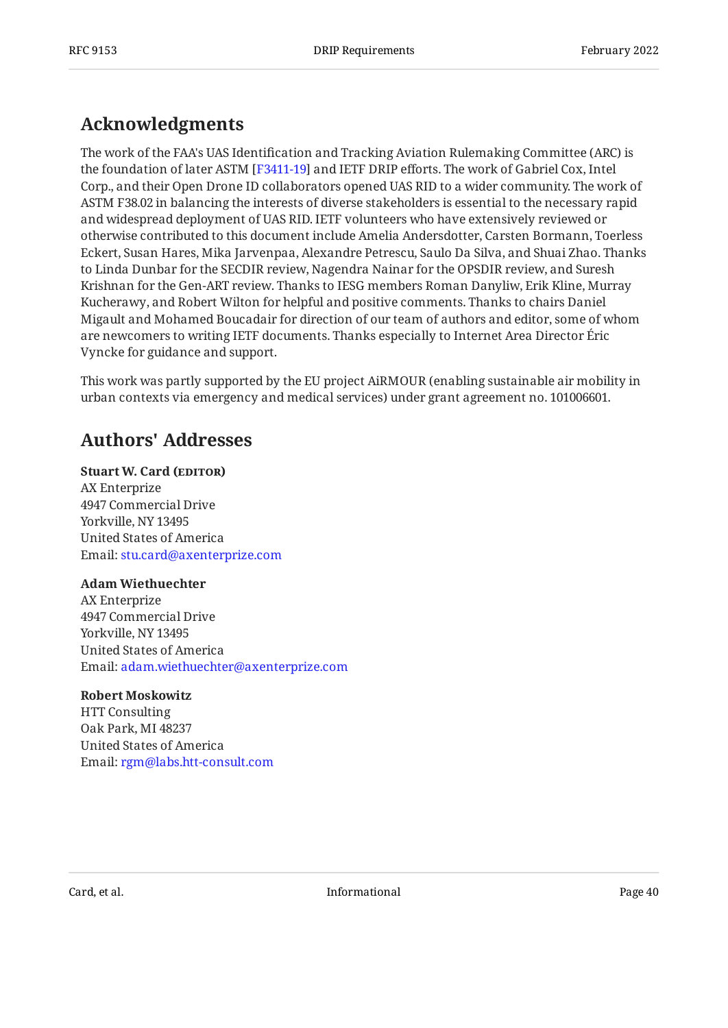## <span id="page-39-0"></span>**[Acknowledgments](#page-39-0)**

The work of the FAA's UAS Identification and Tracking Aviation Rulemaking Committee (ARC) is the foundation of later ASTM [F3411-19] and IETF DRIP efforts. The work of Gabriel Cox, Intel Corp., and their Open Drone ID collaborators opened UAS RID to a wider community. The work of ASTM F38.02 in balancing the interests of diverse stakeholders is essential to the necessary rapid and widespread deployment of UAS RID. IETF volunteers who have extensively reviewed or otherwise contributed to this document include Amelia Andersdotter, Carsten Bormann, Toerless Eckert, Susan Hares, Mika Jarvenpaa, Alexandre Petrescu, Saulo Da Silva, and Shuai Zhao. Thanks to Linda Dunbar for the SECDIR review, Nagendra Nainar for the OPSDIR review, and Suresh Krishnan for the Gen-ART review. Thanks to IESG members Roman Danyliw, Erik Kline, Murray Kucherawy, and Robert Wilton for helpful and positive comments. Thanks to chairs Daniel Migault and Mohamed Boucadair for direction of our team of authors and editor, some of whom are newcomers to writing IETF documents. Thanks especially to Internet Area Director Éric Vyncke for guidance and support.

This work was partly supported by the EU project AiRMOUR (enabling sustainable air mobility in urban contexts via emergency and medical services) under grant agreement no. 101006601.

## <span id="page-39-1"></span>**[Authors' Addresses](#page-39-1)**

## **Stuart W. Card (EDITOR)**

AX Enterprize 4947 Commercial Drive Yorkville, NY 13495 United States of America Email: [stu.card@axenterprize.com](mailto:stu.card@axenterprize.com)

#### **Adam Wiethuechter**

AX Enterprize 4947 Commercial Drive Yorkville, NY 13495 United States of America Email: [adam.wiethuechter@axenterprize.com](mailto:adam.wiethuechter@axenterprize.com)

#### **Robert Moskowitz**

HTT Consulting Oak Park, MI 48237 United States of America Email: [rgm@labs.htt-consult.com](mailto:rgm@labs.htt-consult.com)